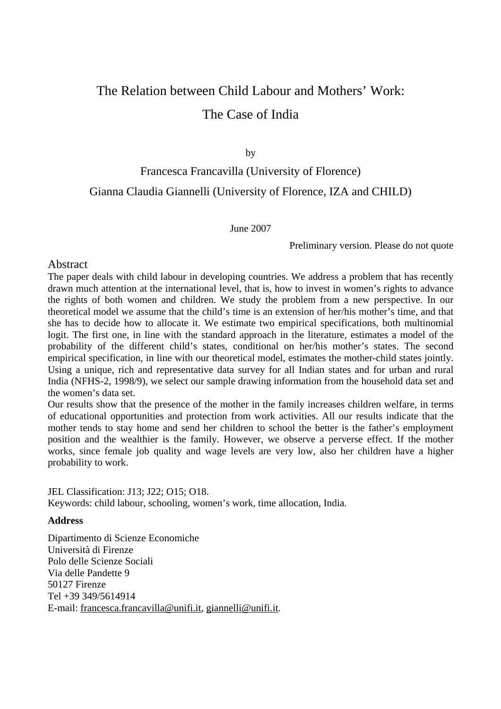# The Relation between Child Labour and Mothers' Work: The Case of India

by

# Francesca Francavilla (University of Florence) Gianna Claudia Giannelli (University of Florence, IZA and CHILD)

### June 2007

Preliminary version. Please do not quote

## Abstract

The paper deals with child labour in developing countries. We address a problem that has recently drawn much attention at the international level, that is, how to invest in women's rights to advance the rights of both women and children. We study the problem from a new perspective. In our theoretical model we assume that the child's time is an extension of her/his mother's time, and that she has to decide how to allocate it. We estimate two empirical specifications, both multinomial logit. The first one, in line with the standard approach in the literature, estimates a model of the probability of the different child's states, conditional on her/his mother's states. The second empirical specification, in line with our theoretical model, estimates the mother-child states jointly. Using a unique, rich and representative data survey for all Indian states and for urban and rural India (NFHS-2, 1998/9), we select our sample drawing information from the household data set and the women's data set.

Our results show that the presence of the mother in the family increases children welfare, in terms of educational opportunities and protection from work activities. All our results indicate that the mother tends to stay home and send her children to school the better is the father's employment position and the wealthier is the family. However, we observe a perverse effect. If the mother works, since female job quality and wage levels are very low, also her children have a higher probability to work.

JEL Classification: J13; J22; O15; O18. Keywords: child labour, schooling, women's work, time allocation, India.

## **Address**

Dipartimento di Scienze Economiche Università di Firenze Polo delle Scienze Sociali Via delle Pandette 9 50127 Firenze Tel +39 349/5614914 E-mail: [francesca.francavilla@unifi.it,](mailto:francesca.francavilla@unifi.it) [giannelli@unifi.it](mailto:giannelli@unifi.it).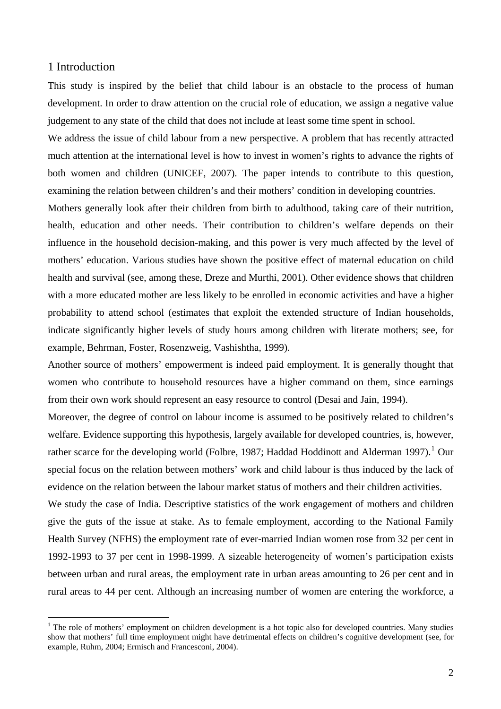### 1 Introduction

 $\overline{a}$ 

This study is inspired by the belief that child labour is an obstacle to the process of human development. In order to draw attention on the crucial role of education, we assign a negative value judgement to any state of the child that does not include at least some time spent in school.

We address the issue of child labour from a new perspective. A problem that has recently attracted much attention at the international level is how to invest in women's rights to advance the rights of both women and children (UNICEF, 2007). The paper intends to contribute to this question, examining the relation between children's and their mothers' condition in developing countries.

Mothers generally look after their children from birth to adulthood, taking care of their nutrition, health, education and other needs. Their contribution to children's welfare depends on their influence in the household decision-making, and this power is very much affected by the level of mothers' education. Various studies have shown the positive effect of maternal education on child health and survival (see, among these, Dreze and Murthi, 2001). Other evidence shows that children with a more educated mother are less likely to be enrolled in economic activities and have a higher probability to attend school (estimates that exploit the extended structure of Indian households, indicate significantly higher levels of study hours among children with literate mothers; see, for example, Behrman, Foster, Rosenzweig, Vashishtha, 1999).

Another source of mothers' empowerment is indeed paid employment. It is generally thought that women who contribute to household resources have a higher command on them, since earnings from their own work should represent an easy resource to control (Desai and Jain, 1994).

Moreover, the degree of control on labour income is assumed to be positively related to children's welfare. Evidence supporting this hypothesis, largely available for developed countries, is, however, rather scarce for the developing world (Folbre, [1](#page-1-0)987; Haddad Hoddinott and Alderman 1997).<sup>1</sup> Our special focus on the relation between mothers' work and child labour is thus induced by the lack of evidence on the relation between the labour market status of mothers and their children activities.

We study the case of India. Descriptive statistics of the work engagement of mothers and children give the guts of the issue at stake. As to female employment, according to the National Family Health Survey (NFHS) the employment rate of ever-married Indian women rose from 32 per cent in 1992-1993 to 37 per cent in 1998-1999. A sizeable heterogeneity of women's participation exists between urban and rural areas, the employment rate in urban areas amounting to 26 per cent and in rural areas to 44 per cent. Although an increasing number of women are entering the workforce, a

<span id="page-1-0"></span> $1$  The role of mothers' employment on children development is a hot topic also for developed countries. Many studies show that mothers' full time employment might have detrimental effects on children's cognitive development (see, for example, Ruhm, 2004; Ermisch and Francesconi, 2004).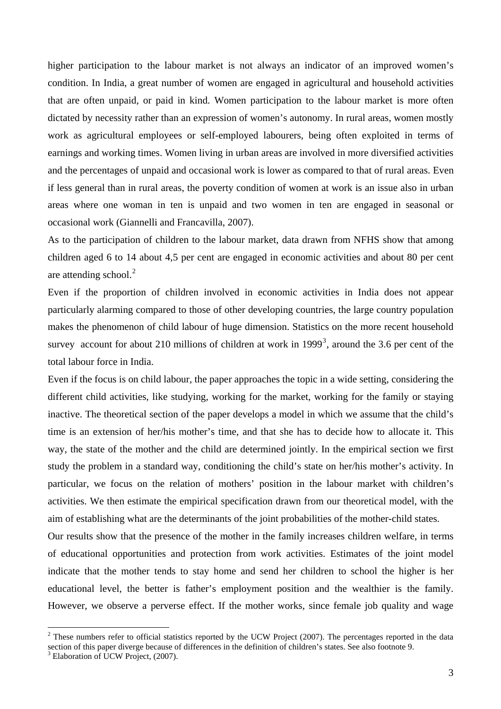higher participation to the labour market is not always an indicator of an improved women's condition. In India, a great number of women are engaged in agricultural and household activities that are often unpaid, or paid in kind. Women participation to the labour market is more often dictated by necessity rather than an expression of women's autonomy. In rural areas, women mostly work as agricultural employees or self-employed labourers, being often exploited in terms of earnings and working times. Women living in urban areas are involved in more diversified activities and the percentages of unpaid and occasional work is lower as compared to that of rural areas. Even if less general than in rural areas, the poverty condition of women at work is an issue also in urban areas where one woman in ten is unpaid and two women in ten are engaged in seasonal or occasional work (Giannelli and Francavilla, 2007).

As to the participation of children to the labour market, data drawn from NFHS show that among children aged 6 to 14 about 4,5 per cent are engaged in economic activities and about 80 per cent are attending school. $2$ 

Even if the proportion of children involved in economic activities in India does not appear particularly alarming compared to those of other developing countries, the large country population makes the phenomenon of child labour of huge dimension. Statistics on the more recent household survey account for about 210 millions of children at work in 1999<sup>[3](#page-2-1)</sup>, around the 3.6 per cent of the total labour force in India.

Even if the focus is on child labour, the paper approaches the topic in a wide setting, considering the different child activities, like studying, working for the market, working for the family or staying inactive. The theoretical section of the paper develops a model in which we assume that the child's time is an extension of her/his mother's time, and that she has to decide how to allocate it. This way, the state of the mother and the child are determined jointly. In the empirical section we first study the problem in a standard way, conditioning the child's state on her/his mother's activity. In particular, we focus on the relation of mothers' position in the labour market with children's activities. We then estimate the empirical specification drawn from our theoretical model, with the aim of establishing what are the determinants of the joint probabilities of the mother-child states.

Our results show that the presence of the mother in the family increases children welfare, in terms of educational opportunities and protection from work activities. Estimates of the joint model indicate that the mother tends to stay home and send her children to school the higher is her educational level, the better is father's employment position and the wealthier is the family. However, we observe a perverse effect. If the mother works, since female job quality and wage

<span id="page-2-0"></span> $2$  These numbers refer to official statistics reported by the UCW Project (2007). The percentages reported in the data

section of this paper diverge because of differences in the definition of children's states. See also footnote 9.

<span id="page-2-1"></span> $3$  Elaboration of UCW Project, (2007).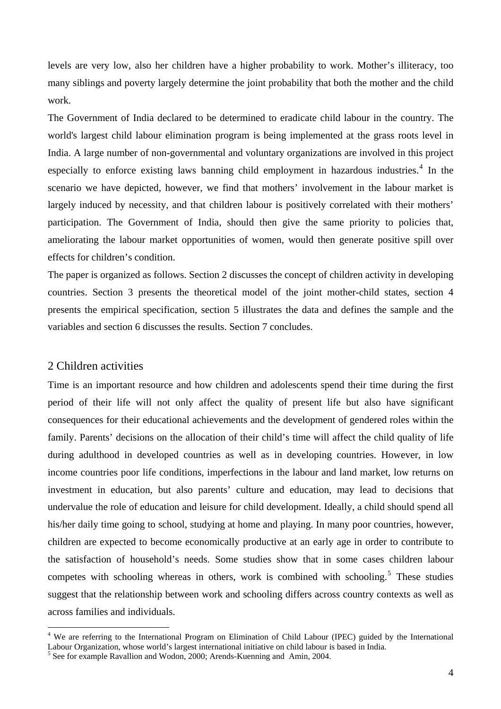levels are very low, also her children have a higher probability to work. Mother's illiteracy, too many siblings and poverty largely determine the joint probability that both the mother and the child work.

The Government of India declared to be determined to eradicate child labour in the country. The world's largest child labour elimination program is being implemented at the grass roots level in India. A large number of non-governmental and voluntary organizations are involved in this project especially to enforce existing laws banning child employment in hazardous industries.<sup>[4](#page-3-0)</sup> In the scenario we have depicted, however, we find that mothers' involvement in the labour market is largely induced by necessity, and that children labour is positively correlated with their mothers' participation. The Government of India, should then give the same priority to policies that, ameliorating the labour market opportunities of women, would then generate positive spill over effects for children's condition.

The paper is organized as follows. Section 2 discusses the concept of children activity in developing countries. Section 3 presents the theoretical model of the joint mother-child states, section 4 presents the empirical specification, section 5 illustrates the data and defines the sample and the variables and section 6 discusses the results. Section 7 concludes.

### 2 Children activities

 $\overline{a}$ 

Time is an important resource and how children and adolescents spend their time during the first period of their life will not only affect the quality of present life but also have significant consequences for their educational achievements and the development of gendered roles within the family. Parents' decisions on the allocation of their child's time will affect the child quality of life during adulthood in developed countries as well as in developing countries. However, in low income countries poor life conditions, imperfections in the labour and land market, low returns on investment in education, but also parents' culture and education, may lead to decisions that undervalue the role of education and leisure for child development. Ideally, a child should spend all his/her daily time going to school, studying at home and playing. In many poor countries, however, children are expected to become economically productive at an early age in order to contribute to the satisfaction of household's needs. Some studies show that in some cases children labour competes with schooling whereas in others, work is combined with schooling.<sup>[5](#page-3-1)</sup> These studies suggest that the relationship between work and schooling differs across country contexts as well as across families and individuals.

<span id="page-3-0"></span><sup>&</sup>lt;sup>4</sup> We are referring to the International Program on Elimination of Child Labour (IPEC) guided by the International Labour Organization, whose world's largest international initiative on child labour is based in India.

<span id="page-3-1"></span> $5$  See for example Ravallion and Wodon, 2000; Arends-Kuenning and Amin, 2004.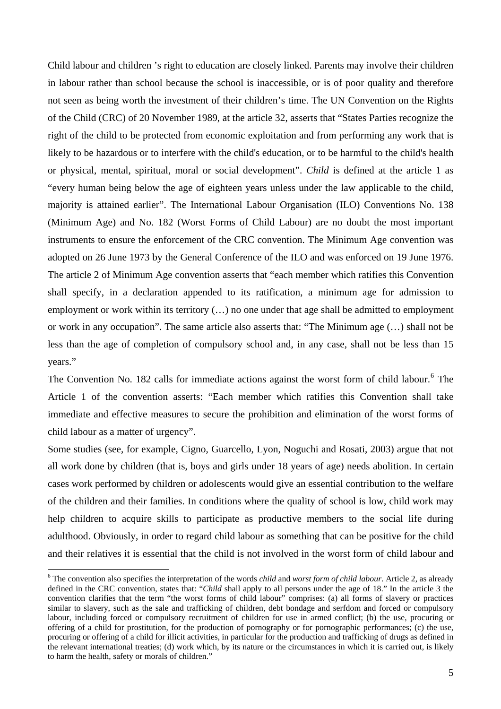Child labour and children 's right to education are closely linked. Parents may involve their children in labour rather than school because the school is inaccessible, or is of poor quality and therefore not seen as being worth the investment of their children's time. The UN Convention on the Rights of the Child (CRC) of 20 November 1989, at the article 32, asserts that "States Parties recognize the right of the child to be protected from economic exploitation and from performing any work that is likely to be hazardous or to interfere with the child's education, or to be harmful to the child's health or physical, mental, spiritual, moral or social development". *Child* is defined at the article 1 as "every human being below the age of eighteen years unless under the law applicable to the child, majority is attained earlier". The International Labour Organisation (ILO) Conventions No. 138 (Minimum Age) and No. 182 (Worst Forms of Child Labour) are no doubt the most important instruments to ensure the enforcement of the CRC convention. The Minimum Age convention was adopted on 26 June 1973 by the General Conference of the ILO and was enforced on 19 June 1976. The article 2 of Minimum Age convention asserts that "each member which ratifies this Convention shall specify, in a declaration appended to its ratification, a minimum age for admission to employment or work within its territory (…) no one under that age shall be admitted to employment or work in any occupation". The same article also asserts that: "The Minimum age (…) shall not be less than the age of completion of compulsory school and, in any case, shall not be less than 15 years."

The Convention No. 182 calls for immediate actions against the worst form of child labour.<sup>[6](#page-4-0)</sup> The Article 1 of the convention asserts: "Each member which ratifies this Convention shall take immediate and effective measures to secure the prohibition and elimination of the worst forms of child labour as a matter of urgency".

Some studies (see, for example, Cigno, Guarcello, Lyon, Noguchi and Rosati, 2003) argue that not all work done by children (that is, boys and girls under 18 years of age) needs abolition. In certain cases work performed by children or adolescents would give an essential contribution to the welfare of the children and their families. In conditions where the quality of school is low, child work may help children to acquire skills to participate as productive members to the social life during adulthood. Obviously, in order to regard child labour as something that can be positive for the child and their relatives it is essential that the child is not involved in the worst form of child labour and

<span id="page-4-0"></span><sup>6</sup> The convention also specifies the interpretation of the words *child* and *worst form of child labour*. Article 2, as already defined in the CRC convention, states that: "*Child* shall apply to all persons under the age of 18." In the article 3 the convention clarifies that the term "the worst forms of child labour" comprises: (a) all forms of slavery or practices similar to slavery, such as the sale and trafficking of children, debt bondage and serfdom and forced or compulsory labour, including forced or compulsory recruitment of children for use in armed conflict; (b) the use, procuring or offering of a child for prostitution, for the production of pornography or for pornographic performances; (c) the use, procuring or offering of a child for illicit activities, in particular for the production and trafficking of drugs as defined in the relevant international treaties; (d) work which, by its nature or the circumstances in which it is carried out, is likely to harm the health, safety or morals of children."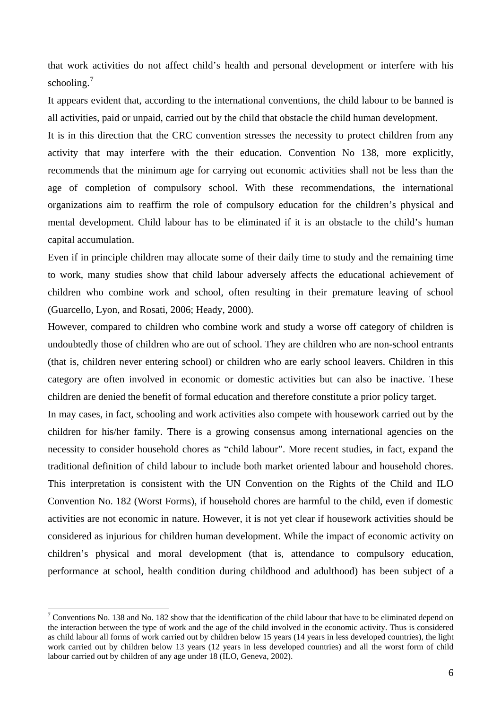that work activities do not affect child's health and personal development or interfere with his schooling.<sup>[7](#page-5-0)</sup>

It appears evident that, according to the international conventions, the child labour to be banned is all activities, paid or unpaid, carried out by the child that obstacle the child human development.

It is in this direction that the CRC convention stresses the necessity to protect children from any activity that may interfere with the their education. Convention No 138, more explicitly, recommends that the minimum age for carrying out economic activities shall not be less than the age of completion of compulsory school. With these recommendations, the international organizations aim to reaffirm the role of compulsory education for the children's physical and mental development. Child labour has to be eliminated if it is an obstacle to the child's human capital accumulation.

Even if in principle children may allocate some of their daily time to study and the remaining time to work, many studies show that child labour adversely affects the educational achievement of children who combine work and school, often resulting in their premature leaving of school (Guarcello, Lyon, and Rosati, 2006; Heady, 2000).

However, compared to children who combine work and study a worse off category of children is undoubtedly those of children who are out of school. They are children who are non-school entrants (that is, children never entering school) or children who are early school leavers. Children in this category are often involved in economic or domestic activities but can also be inactive. These children are denied the benefit of formal education and therefore constitute a prior policy target.

In may cases, in fact, schooling and work activities also compete with housework carried out by the children for his/her family. There is a growing consensus among international agencies on the necessity to consider household chores as "child labour". More recent studies, in fact, expand the traditional definition of child labour to include both market oriented labour and household chores. This interpretation is consistent with the UN Convention on the Rights of the Child and ILO Convention No. 182 (Worst Forms), if household chores are harmful to the child, even if domestic activities are not economic in nature. However, it is not yet clear if housework activities should be considered as injurious for children human development. While the impact of economic activity on children's physical and moral development (that is, attendance to compulsory education, performance at school, health condition during childhood and adulthood) has been subject of a

<span id="page-5-0"></span><sup>&</sup>lt;sup>7</sup> Conventions No. 138 and No. 182 show that the identification of the child labour that have to be eliminated depend on the interaction between the type of work and the age of the child involved in the economic activity. Thus is considered as child labour all forms of work carried out by children below 15 years (14 years in less developed countries), the light work carried out by children below 13 years (12 years in less developed countries) and all the worst form of child labour carried out by children of any age under 18 (ILO, Geneva, 2002).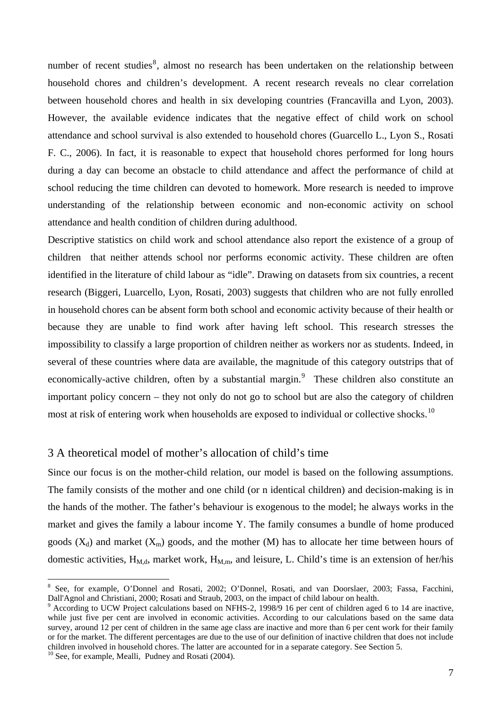number of recent studies<sup>[8](#page-6-0)</sup>, almost no research has been undertaken on the relationship between household chores and children's development. A recent research reveals no clear correlation between household chores and health in six developing countries (Francavilla and Lyon, 2003). However, the available evidence indicates that the negative effect of child work on school attendance and school survival is also extended to household chores (Guarcello L., Lyon S., Rosati F. C., 2006). In fact, it is reasonable to expect that household chores performed for long hours during a day can become an obstacle to child attendance and affect the performance of child at school reducing the time children can devoted to homework. More research is needed to improve understanding of the relationship between economic and non-economic activity on school attendance and health condition of children during adulthood.

Descriptive statistics on child work and school attendance also report the existence of a group of children that neither attends school nor performs economic activity. These children are often identified in the literature of child labour as "idle". Drawing on datasets from six countries, a recent research (Biggeri, Luarcello, Lyon, Rosati, 2003) suggests that children who are not fully enrolled in household chores can be absent form both school and economic activity because of their health or because they are unable to find work after having left school. This research stresses the impossibility to classify a large proportion of children neither as workers nor as students. Indeed, in several of these countries where data are available, the magnitude of this category outstrips that of economically-active children, often by a substantial margin.<sup>[9](#page-6-1)</sup> These children also constitute an important policy concern – they not only do not go to school but are also the category of children most at risk of entering work when households are exposed to individual or collective shocks.<sup>[10](#page-6-2)</sup>

## 3 A theoretical model of mother's allocation of child's time

Since our focus is on the mother-child relation, our model is based on the following assumptions. The family consists of the mother and one child (or n identical children) and decision-making is in the hands of the mother. The father's behaviour is exogenous to the model; he always works in the market and gives the family a labour income Y. The family consumes a bundle of home produced goods  $(X_d)$  and market  $(X_m)$  goods, and the mother  $(M)$  has to allocate her time between hours of domestic activities,  $H_{Md}$ , market work,  $H_{M,m}$ , and leisure, L. Child's time is an extension of her/his

<span id="page-6-0"></span><sup>&</sup>lt;sup>8</sup> See, for example, O'Donnel and Rosati, 2002; O'Donnel, Rosati, and van Doorslaer, 2003; Fassa, Facchini, Dall'Agnol and Christiani, 2000; Rosati and Straub, 2003, on the impact of child labour on health.

<span id="page-6-1"></span><sup>&</sup>lt;sup>9</sup> According to UCW Project calculations based on NFHS-2, 1998/9 16 per cent of children aged 6 to 14 are inactive, while just five per cent are involved in economic activities. According to our calculations based on the same data survey, around 12 per cent of children in the same age class are inactive and more than 6 per cent work for their family or for the market. The different percentages are due to the use of our definition of inactive children that does not include children involved in household chores. The latter are accounted for in a separate category. See Section 5. <sup>10</sup> See, for example, Mealli, Pudney and Rosati (2004).

<span id="page-6-2"></span>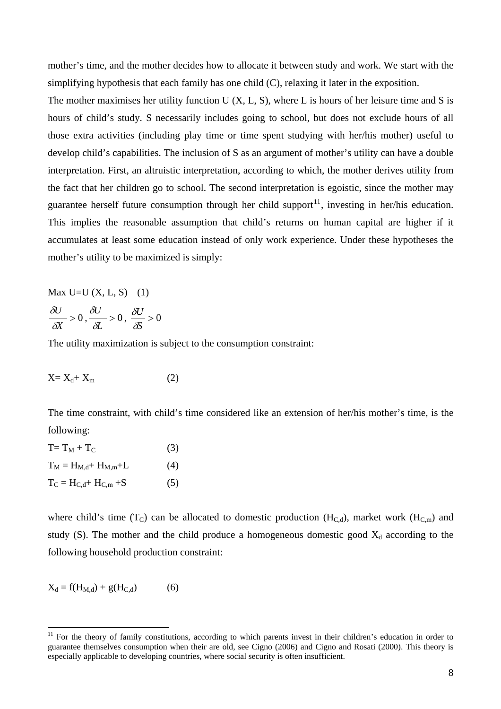mother's time, and the mother decides how to allocate it between study and work. We start with the simplifying hypothesis that each family has one child (C), relaxing it later in the exposition.

The mother maximises her utility function U (X, L, S), where L is hours of her leisure time and S is hours of child's study. S necessarily includes going to school, but does not exclude hours of all those extra activities (including play time or time spent studying with her/his mother) useful to develop child's capabilities. The inclusion of S as an argument of mother's utility can have a double interpretation. First, an altruistic interpretation, according to which, the mother derives utility from the fact that her children go to school. The second interpretation is egoistic, since the mother may guarantee herself future consumption through her child support<sup>[11](#page-7-0)</sup>, investing in her/his education. This implies the reasonable assumption that child's returns on human capital are higher if it accumulates at least some education instead of only work experience. Under these hypotheses the mother's utility to be maximized is simply:

$$
\begin{aligned} \text{Max U=U (X, L, S)} \quad (1) \\ \frac{\delta U}{\delta X} > 0, \frac{\delta U}{\delta L} > 0, \frac{\delta U}{\delta S} > 0 \end{aligned}
$$

The utility maximization is subject to the consumption constraint:

$$
X = X_d + X_m \tag{2}
$$

The time constraint, with child's time considered like an extension of her/his mother's time, is the following:

$$
T = T_M + T_C
$$
 (3)  
\n
$$
T_M = H_{M,d} + H_{M,m} + L
$$
 (4)  
\n
$$
T_C = H_{C,d} + H_{C,m} + S
$$
 (5)

where child's time  $(T_C)$  can be allocated to domestic production  $(H_{C,d})$ , market work  $(H_{C,m})$  and study (S). The mother and the child produce a homogeneous domestic good  $X_d$  according to the following household production constraint:

$$
X_d = f(H_{M,d}) + g(H_{C,d})
$$
 (6)

<span id="page-7-0"></span><sup>&</sup>lt;sup>11</sup> For the theory of family constitutions, according to which parents invest in their children's education in order to guarantee themselves consumption when their are old, see Cigno (2006) and Cigno and Rosati (2000). This theory is especially applicable to developing countries, where social security is often insufficient.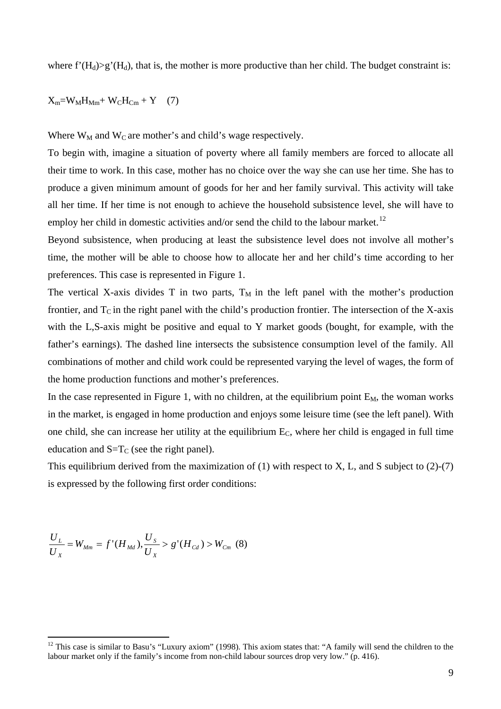where  $f'(H_d) > g'(H_d)$ , that is, the mother is more productive than her child. The budget constraint is:

$$
X_m = W_M H_{Mm} + W_C H_{Cm} + Y \quad (7)
$$

Where  $W_M$  and  $W_C$  are mother's and child's wage respectively.

To begin with, imagine a situation of poverty where all family members are forced to allocate all their time to work. In this case, mother has no choice over the way she can use her time. She has to produce a given minimum amount of goods for her and her family survival. This activity will take all her time. If her time is not enough to achieve the household subsistence level, she will have to employ her child in domestic activities and/or send the child to the labour market.<sup>[12](#page-8-0)</sup>

Beyond subsistence, when producing at least the subsistence level does not involve all mother's time, the mother will be able to choose how to allocate her and her child's time according to her preferences. This case is represented in Figure 1.

The vertical X-axis divides T in two parts,  $T_M$  in the left panel with the mother's production frontier, and  $T_c$  in the right panel with the child's production frontier. The intersection of the X-axis with the L,S-axis might be positive and equal to Y market goods (bought, for example, with the father's earnings). The dashed line intersects the subsistence consumption level of the family. All combinations of mother and child work could be represented varying the level of wages, the form of the home production functions and mother's preferences.

In the case represented in Figure 1, with no children, at the equilibrium point  $E_M$ , the woman works in the market, is engaged in home production and enjoys some leisure time (see the left panel). With one child, she can increase her utility at the equilibrium  $E<sub>C</sub>$ , where her child is engaged in full time education and  $S=T_C$  (see the right panel).

This equilibrium derived from the maximization of  $(1)$  with respect to X, L, and S subject to  $(2)-(7)$ is expressed by the following first order conditions:

$$
\frac{U_L}{U_X} = W_{Mm} = f'(H_{Md}), \frac{U_S}{U_X} > g'(H_{Cd}) > W_{Cm}
$$
 (8)

<span id="page-8-0"></span><sup>&</sup>lt;sup>12</sup> This case is similar to Basu's "Luxury axiom" (1998). This axiom states that: "A family will send the children to the labour market only if the family's income from non-child labour sources drop very low." (p. 416).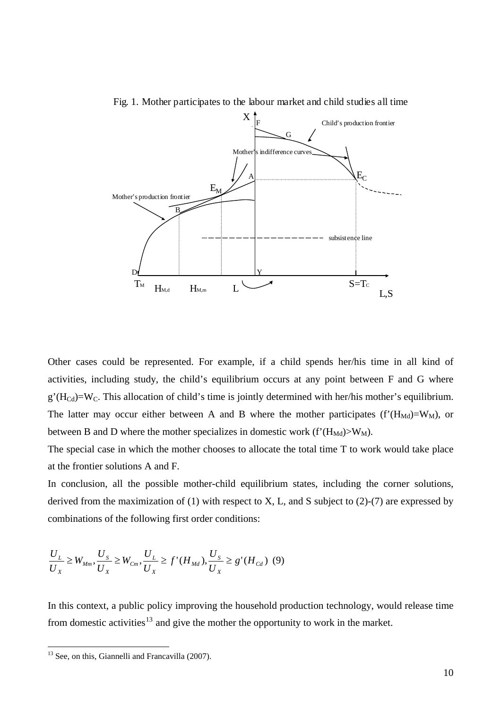

Fig. 1. Mother participates to the labour market and child studies all time

Other cases could be represented. For example, if a child spends her/his time in all kind of activities, including study, the child's equilibrium occurs at any point between F and G where  $g'(H_{Cd})=W_C$ . This allocation of child's time is jointly determined with her/his mother's equilibrium. The latter may occur either between A and B where the mother participates (f'( $H_{Md}$ )=W<sub>M</sub>), or between B and D where the mother specializes in domestic work ( $f'(H_{Md})>W_M$ ).

The special case in which the mother chooses to allocate the total time T to work would take place at the frontier solutions A and F.

In conclusion, all the possible mother-child equilibrium states, including the corner solutions, derived from the maximization of (1) with respect to X, L, and S subject to  $(2)-(7)$  are expressed by combinations of the following first order conditions:

$$
\frac{U_L}{U_X} \ge W_{Mm}, \frac{U_S}{U_X} \ge W_{Cm}, \frac{U_L}{U_X} \ge f'(H_{Md}), \frac{U_S}{U_X} \ge g'(H_{Cd})
$$
(9)

In this context, a public policy improving the household production technology, would release time from domestic activities<sup>[13](#page-9-0)</sup> and give the mother the opportunity to work in the market.

<span id="page-9-0"></span><sup>&</sup>lt;sup>13</sup> See, on this, Giannelli and Francavilla (2007).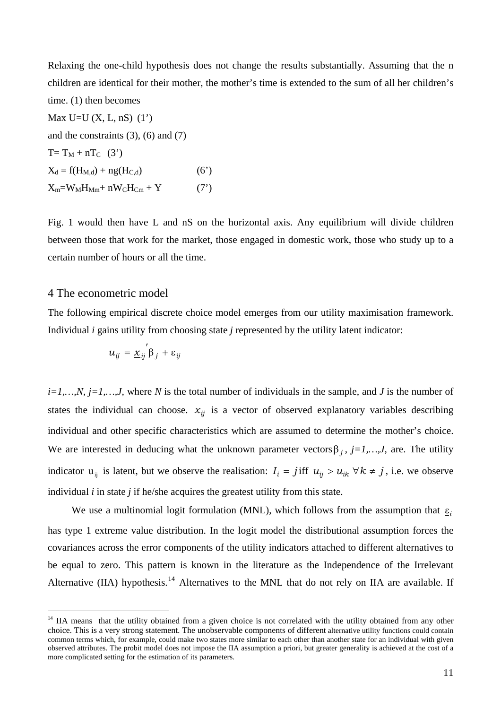Relaxing the one-child hypothesis does not change the results substantially. Assuming that the n children are identical for their mother, the mother's time is extended to the sum of all her children's time. (1) then becomes

Max U=U  $(X, L, nS)$   $(1')$ and the constraints  $(3)$ ,  $(6)$  and  $(7)$  $T = T_M + nT_C$  (3')  $X_d = f(H_{M,d}) + ng(H_{C,d})$  (6')  $X_m=W_MH_{Mm}$ + nW<sub>C</sub>H<sub>Cm</sub> + Y (7')

Fig. 1 would then have L and nS on the horizontal axis. Any equilibrium will divide children between those that work for the market, those engaged in domestic work, those who study up to a certain number of hours or all the time.

#### 4 The econometric model

 $\overline{a}$ 

The following empirical discrete choice model emerges from our utility maximisation framework. Individual *i* gains utility from choosing state *j* represented by the utility latent indicator:

$$
u_{ij} = \underline{x}_{ij} \beta_j + \varepsilon_{ij}
$$

*i=1,…,N*, *j=1,…,J*, where *N* is the total number of individuals in the sample, and *J* is the number of states the individual can choose.  $x_{ij}$  is a vector of observed explanatory variables describing individual and other specific characteristics which are assumed to determine the mother's choice. We are interested in deducing what the unknown parameter vectors  $\beta_j$ ,  $j=1,...,J$ , are. The utility indicator  $u_{ij}$  is latent, but we observe the realisation:  $I_i = j$  iff  $u_{ij} > u_{ik} \ \forall k \neq j$ , i.e. we observe individual *i* in state *j* if he/she acquires the greatest utility from this state.

We use a multinomial logit formulation (MNL), which follows from the assumption that  $\varepsilon_i$ has type 1 extreme value distribution. In the logit model the distributional assumption forces the covariances across the error components of the utility indicators attached to different alternatives to be equal to zero. This pattern is known in the literature as the Independence of the Irrelevant Alternative (IIA) hypothesis.<sup>[14](#page-10-0)</sup> Alternatives to the MNL that do not rely on IIA are available. If

<span id="page-10-0"></span><sup>&</sup>lt;sup>14</sup> IIA means that the utility obtained from a given choice is not correlated with the utility obtained from any other choice. This is a very strong statement. The unobservable components of different alternative utility functions could contain common terms which, for example, could make two states more similar to each other than another state for an individual with given observed attributes. The probit model does not impose the IIA assumption a priori, but greater generality is achieved at the cost of a more complicated setting for the estimation of its parameters.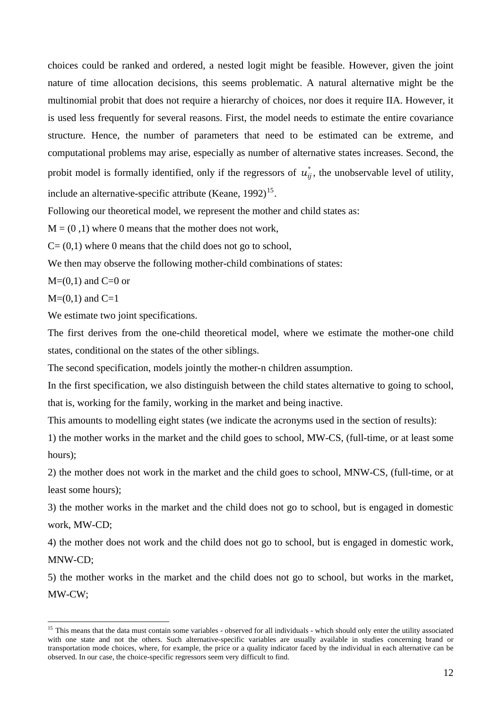choices could be ranked and ordered, a nested logit might be feasible. However, given the joint nature of time allocation decisions, this seems problematic. A natural alternative might be the multinomial probit that does not require a hierarchy of choices, nor does it require IIA. However, it is used less frequently for several reasons. First, the model needs to estimate the entire covariance structure. Hence, the number of parameters that need to be estimated can be extreme, and computational problems may arise, especially as number of alternative states increases. Second, the probit model is formally identified, only if the regressors of  $u_{ij}^*$ , the unobservable level of utility, include an alternative-specific attribute (Keane,  $1992$ )<sup>[15](#page-11-0)</sup>.

Following our theoretical model, we represent the mother and child states as:

 $M = (0, 1)$  where 0 means that the mother does not work,

 $C = (0,1)$  where 0 means that the child does not go to school,

We then may observe the following mother-child combinations of states:

 $M=(0,1)$  and  $C=0$  or

 $M=(0,1)$  and  $C=1$ 

 $\overline{a}$ 

We estimate two joint specifications.

The first derives from the one-child theoretical model, where we estimate the mother-one child states, conditional on the states of the other siblings.

The second specification, models jointly the mother-n children assumption.

In the first specification, we also distinguish between the child states alternative to going to school, that is, working for the family, working in the market and being inactive.

This amounts to modelling eight states (we indicate the acronyms used in the section of results):

1) the mother works in the market and the child goes to school, MW-CS, (full-time, or at least some hours);

2) the mother does not work in the market and the child goes to school, MNW-CS, (full-time, or at least some hours);

3) the mother works in the market and the child does not go to school, but is engaged in domestic work, MW-CD;

4) the mother does not work and the child does not go to school, but is engaged in domestic work, MNW-CD;

5) the mother works in the market and the child does not go to school, but works in the market, MW-CW;

<span id="page-11-0"></span><sup>&</sup>lt;sup>15</sup> This means that the data must contain some variables - observed for all individuals - which should only enter the utility associated with one state and not the others. Such alternative-specific variables are usually available in studies concerning brand or transportation mode choices, where, for example, the price or a quality indicator faced by the individual in each alternative can be observed. In our case, the choice-specific regressors seem very difficult to find.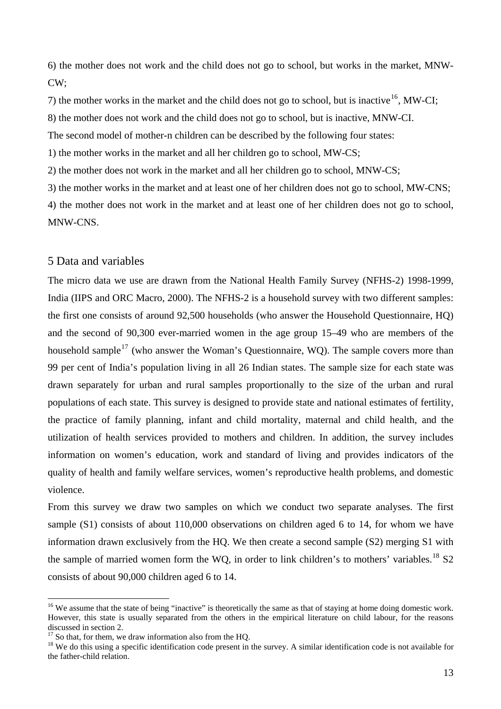6) the mother does not work and the child does not go to school, but works in the market, MNW-CW;

7) the mother works in the market and the child does not go to school, but is inactive<sup>[16](#page-12-0)</sup>, MW-CI; 8) the mother does not work and the child does not go to school, but is inactive, MNW-CI.

The second model of mother-n children can be described by the following four states:

1) the mother works in the market and all her children go to school, MW-CS;

2) the mother does not work in the market and all her children go to school, MNW-CS;

3) the mother works in the market and at least one of her children does not go to school, MW-CNS;

4) the mother does not work in the market and at least one of her children does not go to school, MNW-CNS.

### 5 Data and variables

The micro data we use are drawn from the National Health Family Survey (NFHS-2) 1998-1999, India (IIPS and ORC Macro, 2000). The NFHS-2 is a household survey with two different samples: the first one consists of around 92,500 households (who answer the Household Questionnaire, HQ) and the second of 90,300 ever-married women in the age group 15–49 who are members of the household sample<sup>[17](#page-12-1)</sup> (who answer the Woman's Questionnaire, WQ). The sample covers more than 99 per cent of India's population living in all 26 Indian states. The sample size for each state was drawn separately for urban and rural samples proportionally to the size of the urban and rural populations of each state. This survey is designed to provide state and national estimates of fertility, the practice of family planning, infant and child mortality, maternal and child health, and the utilization of health services provided to mothers and children. In addition, the survey includes information on women's education, work and standard of living and provides indicators of the quality of health and family welfare services, women's reproductive health problems, and domestic violence.

From this survey we draw two samples on which we conduct two separate analyses. The first sample (S1) consists of about 110,000 observations on children aged 6 to 14, for whom we have information drawn exclusively from the HQ. We then create a second sample (S2) merging S1 with the sample of married women form the WO, in order to link children's to mothers' variables.<sup>[18](#page-12-2)</sup> S2 consists of about 90,000 children aged 6 to 14.

<span id="page-12-0"></span><sup>&</sup>lt;sup>16</sup> We assume that the state of being "inactive" is theoretically the same as that of staying at home doing domestic work. However, this state is usually separated from the others in the empirical literature on child labour, for the reasons discussed in section 2.

<span id="page-12-1"></span> $17$  So that, for them, we draw information also from the HQ.

<span id="page-12-2"></span> $18$  We do this using a specific identification code present in the survey. A similar identification code is not available for the father-child relation.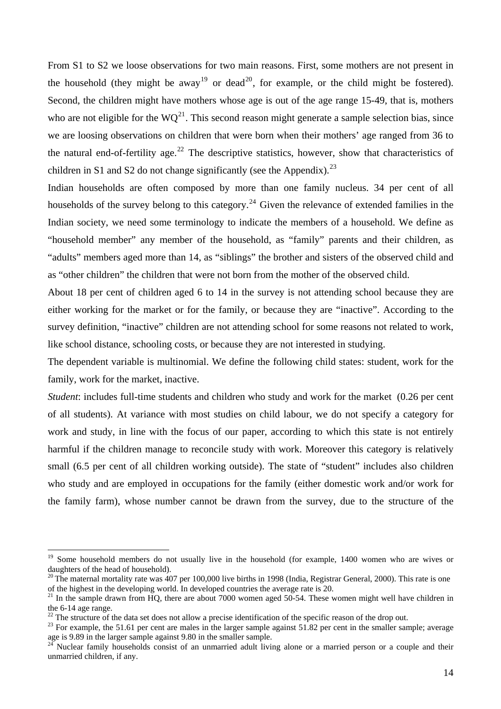From S1 to S2 we loose observations for two main reasons. First, some mothers are not present in the household (they might be away<sup>[19](#page-13-0)</sup> or dead<sup>[20](#page-13-1)</sup>, for example, or the child might be fostered). Second, the children might have mothers whose age is out of the age range 15-49, that is, mothers who are not eligible for the  $WQ^{21}$  $WQ^{21}$  $WQ^{21}$ . This second reason might generate a sample selection bias, since we are loosing observations on children that were born when their mothers' age ranged from 36 to the natural end-of-fertility age.<sup>[22](#page-13-3)</sup> The descriptive statistics, however, show that characteristics of children in S1 and S2 do not change significantly (see the Appendix).<sup>[23](#page-13-4)</sup>

Indian households are often composed by more than one family nucleus. 34 per cent of all households of the survey belong to this category.<sup>[24](#page-13-5)</sup> Given the relevance of extended families in the Indian society, we need some terminology to indicate the members of a household. We define as "household member" any member of the household, as "family" parents and their children, as "adults" members aged more than 14, as "siblings" the brother and sisters of the observed child and as "other children" the children that were not born from the mother of the observed child.

About 18 per cent of children aged 6 to 14 in the survey is not attending school because they are either working for the market or for the family, or because they are "inactive". According to the survey definition, "inactive" children are not attending school for some reasons not related to work, like school distance, schooling costs, or because they are not interested in studying.

The dependent variable is multinomial. We define the following child states: student, work for the family, work for the market, inactive.

*Student*: includes full-time students and children who study and work for the market (0.26 per cent of all students). At variance with most studies on child labour, we do not specify a category for work and study, in line with the focus of our paper, according to which this state is not entirely harmful if the children manage to reconcile study with work. Moreover this category is relatively small (6.5 per cent of all children working outside). The state of "student" includes also children who study and are employed in occupations for the family (either domestic work and/or work for the family farm), whose number cannot be drawn from the survey, due to the structure of the

<span id="page-13-0"></span><sup>&</sup>lt;sup>19</sup> Some household members do not usually live in the household (for example, 1400 women who are wives or daughters of the head of household).

<span id="page-13-1"></span><sup>&</sup>lt;sup>20</sup> The maternal mortality rate was 407 per 100,000 live births in 1998 (India, Registrar General, 2000). This rate is one of the highest in the developing world. In developed countries the average rate is 20.

<span id="page-13-2"></span>In the highest in the developing world. In development  $\frac{1}{20}$  words and  $\frac{1}{20}$ . These women might well have children in the 6-14 age range.

<span id="page-13-3"></span> $^{22}$  The structure of the data set does not allow a precise identification of the specific reason of the drop out.

<span id="page-13-4"></span> $23$  For example, the 51.61 per cent are males in the larger sample against 51.82 per cent in the smaller sample; average age is 9.89 in the larger sample against 9.80 in the smaller sample.

<span id="page-13-5"></span>Nuclear family households consist of an unmarried adult living alone or a married person or a couple and their unmarried children, if any.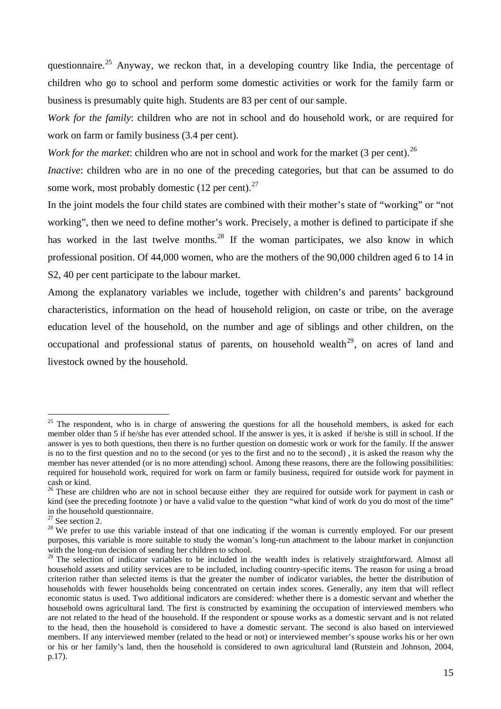questionnaire.<sup>[25](#page-14-0)</sup> Anyway, we reckon that, in a developing country like India, the percentage of children who go to school and perform some domestic activities or work for the family farm or business is presumably quite high. Students are 83 per cent of our sample.

*Work for the family*: children who are not in school and do household work, or are required for work on farm or family business (3.4 per cent).

*Work for the market*: children who are not in school and work for the market (3 per cent).<sup>[26](#page-14-1)</sup>

*Inactive*: children who are in no one of the preceding categories, but that can be assumed to do some work, most probably domestic  $(12 \text{ per cent})$ .<sup>[27](#page-14-2)</sup>

In the joint models the four child states are combined with their mother's state of "working" or "not working", then we need to define mother's work. Precisely, a mother is defined to participate if she has worked in the last twelve months.<sup>[28](#page-14-3)</sup> If the woman participates, we also know in which professional position. Of 44,000 women, who are the mothers of the 90,000 children aged 6 to 14 in S2, 40 per cent participate to the labour market.

Among the explanatory variables we include, together with children's and parents' background characteristics, information on the head of household religion, on caste or tribe, on the average education level of the household, on the number and age of siblings and other children, on the occupational and professional status of parents, on household wealth<sup>[29](#page-14-4)</sup>, on acres of land and livestock owned by the household.

<span id="page-14-0"></span> $25$  The respondent, who is in charge of answering the questions for all the household members, is asked for each member older than 5 if he/she has ever attended school. If the answer is yes, it is asked if he/she is still in school. If the answer is yes to both questions, then there is no further question on domestic work or work for the family. If the answer is no to the first question and no to the second (or yes to the first and no to the second) , it is asked the reason why the member has never attended (or is no more attending) school. Among these reasons, there are the following possibilities: required for household work, required for work on farm or family business, required for outside work for payment in cash or kind.

<span id="page-14-1"></span><sup>&</sup>lt;sup>26</sup> These are children who are not in school because either they are required for outside work for payment in cash or kind (see the preceding footnote) or have a valid value to the question "what kind of work do you do most of the time" in the household questionnaire.

<span id="page-14-2"></span><sup>&</sup>lt;sup>27</sup> See section 2.

<span id="page-14-3"></span> $28$  We prefer to use this variable instead of that one indicating if the woman is currently employed. For our present purposes, this variable is more suitable to study the woman's long-run attachment to the labour market in conjunction with the long-run decision of sending her children to school.

<span id="page-14-4"></span><sup>&</sup>lt;sup>29</sup> The selection of indicator variables to be included in the wealth index is relatively straightforward. Almost all household assets and utility services are to be included, including country-specific items. The reason for using a broad criterion rather than selected items is that the greater the number of indicator variables, the better the distribution of households with fewer households being concentrated on certain index scores. Generally, any item that will reflect economic status is used. Two additional indicators are considered: whether there is a domestic servant and whether the household owns agricultural land. The first is constructed by examining the occupation of interviewed members who are not related to the head of the household. If the respondent or spouse works as a domestic servant and is not related to the head, then the household is considered to have a domestic servant. The second is also based on interviewed members. If any interviewed member (related to the head or not) or interviewed member's spouse works his or her own or his or her family's land, then the household is considered to own agricultural land (Rutstein and Johnson, 2004, p.17).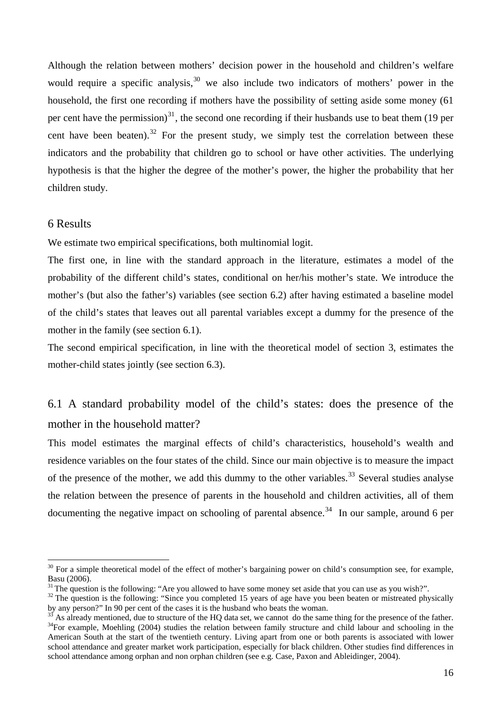Although the relation between mothers' decision power in the household and children's welfare would require a specific analysis,  $30$  we also include two indicators of mothers' power in the household, the first one recording if mothers have the possibility of setting aside some money (61 per cent have the permission)<sup>[31](#page-15-1)</sup>, the second one recording if their husbands use to beat them (19 per cent have been beaten).<sup>[32](#page-15-2)</sup> For the present study, we simply test the correlation between these indicators and the probability that children go to school or have other activities. The underlying hypothesis is that the higher the degree of the mother's power, the higher the probability that her children study.

### 6 Results

 $\overline{a}$ 

We estimate two empirical specifications, both multinomial logit.

The first one, in line with the standard approach in the literature, estimates a model of the probability of the different child's states, conditional on her/his mother's state. We introduce the mother's (but also the father's) variables (see section 6.2) after having estimated a baseline model of the child's states that leaves out all parental variables except a dummy for the presence of the mother in the family (see section 6.1).

The second empirical specification, in line with the theoretical model of section 3, estimates the mother-child states jointly (see section 6.3).

# 6.1 A standard probability model of the child's states: does the presence of the mother in the household matter?

This model estimates the marginal effects of child's characteristics, household's wealth and residence variables on the four states of the child. Since our main objective is to measure the impact of the presence of the mother, we add this dummy to the other variables.<sup>[33](#page-15-3)</sup> Several studies analyse the relation between the presence of parents in the household and children activities, all of them documenting the negative impact on schooling of parental absence.<sup>[34](#page-15-4)</sup> In our sample, around 6 per

<span id="page-15-0"></span> $30$  For a simple theoretical model of the effect of mother's bargaining power on child's consumption see, for example, Basu (2006).<br> $31$  The auestion is the following: "Are you allowed to have some money set aside that you can use as you wish?".

<span id="page-15-2"></span><span id="page-15-1"></span><sup>&</sup>lt;sup>32</sup> The question is the following: "Since you completed 15 years of age have you been beaten or mistreated physically by any person?" In 90 per cent of the cases it is the husband who beats the woman.

<span id="page-15-4"></span><span id="page-15-3"></span>As already mentioned, due to structure of the HQ data set, we cannot do the same thing for the presence of the father. <sup>34</sup>For example, Moehling (2004) studies the relation between family structure and child labour and schooling in the American South at the start of the twentieth century. Living apart from one or both parents is associated with lower school attendance and greater market work participation, especially for black children. Other studies find differences in school attendance among orphan and non orphan children (see e.g. Case, Paxon and Ableidinger, 2004).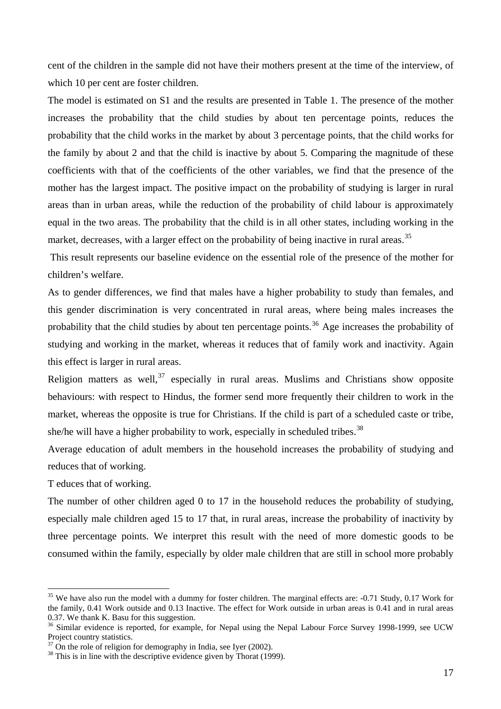cent of the children in the sample did not have their mothers present at the time of the interview, of which 10 per cent are foster children.

The model is estimated on S1 and the results are presented in Table 1. The presence of the mother increases the probability that the child studies by about ten percentage points, reduces the probability that the child works in the market by about 3 percentage points, that the child works for the family by about 2 and that the child is inactive by about 5. Comparing the magnitude of these coefficients with that of the coefficients of the other variables, we find that the presence of the mother has the largest impact. The positive impact on the probability of studying is larger in rural areas than in urban areas, while the reduction of the probability of child labour is approximately equal in the two areas. The probability that the child is in all other states, including working in the market, decreases, with a larger effect on the probability of being inactive in rural areas.<sup>[35](#page-16-0)</sup>

 This result represents our baseline evidence on the essential role of the presence of the mother for children's welfare.

As to gender differences, we find that males have a higher probability to study than females, and this gender discrimination is very concentrated in rural areas, where being males increases the probability that the child studies by about ten percentage points.<sup>[36](#page-16-1)</sup> Age increases the probability of studying and working in the market, whereas it reduces that of family work and inactivity. Again this effect is larger in rural areas.

Religion matters as well,  $37$  especially in rural areas. Muslims and Christians show opposite behaviours: with respect to Hindus, the former send more frequently their children to work in the market, whereas the opposite is true for Christians. If the child is part of a scheduled caste or tribe, she/he will have a higher probability to work, especially in scheduled tribes.<sup>[38](#page-16-3)</sup>

Average education of adult members in the household increases the probability of studying and reduces that of working.

T educes that of working.

 $\overline{a}$ 

The number of other children aged 0 to 17 in the household reduces the probability of studying, especially male children aged 15 to 17 that, in rural areas, increase the probability of inactivity by three percentage points. We interpret this result with the need of more domestic goods to be consumed within the family, especially by older male children that are still in school more probably

<span id="page-16-0"></span><sup>&</sup>lt;sup>35</sup> We have also run the model with a dummy for foster children. The marginal effects are: -0.71 Study, 0.17 Work for the family, 0.41 Work outside and 0.13 Inactive. The effect for Work outside in urban areas is 0.41 and in rural areas 0.37. We thank K. Basu for this suggestion.

<span id="page-16-1"></span><sup>&</sup>lt;sup>36</sup> Similar evidence is reported, for example, for Nepal using the Nepal Labour Force Survey 1998-1999, see UCW Project country statistics.

<span id="page-16-2"></span> $37$  On the role of religion for demography in India, see Iyer (2002).

<span id="page-16-3"></span><sup>&</sup>lt;sup>38</sup> This is in line with the descriptive evidence given by Thorat (1999).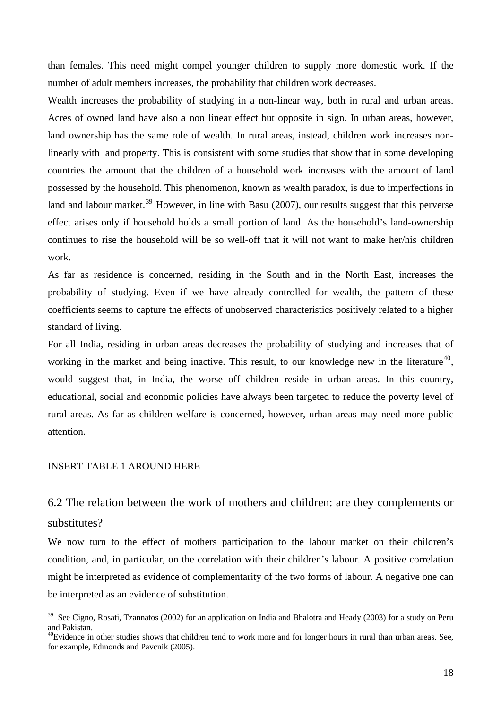than females. This need might compel younger children to supply more domestic work. If the number of adult members increases, the probability that children work decreases.

Wealth increases the probability of studying in a non-linear way, both in rural and urban areas. Acres of owned land have also a non linear effect but opposite in sign. In urban areas, however, land ownership has the same role of wealth. In rural areas, instead, children work increases nonlinearly with land property. This is consistent with some studies that show that in some developing countries the amount that the children of a household work increases with the amount of land possessed by the household. This phenomenon, known as wealth paradox, is due to imperfections in land and labour market.<sup>[39](#page-17-0)</sup> However, in line with Basu (2007), our results suggest that this perverse effect arises only if household holds a small portion of land. As the household's land-ownership continues to rise the household will be so well-off that it will not want to make her/his children work.

As far as residence is concerned, residing in the South and in the North East, increases the probability of studying. Even if we have already controlled for wealth, the pattern of these coefficients seems to capture the effects of unobserved characteristics positively related to a higher standard of living.

For all India, residing in urban areas decreases the probability of studying and increases that of working in the market and being inactive. This result, to our knowledge new in the literature<sup>[40](#page-17-1)</sup>, would suggest that, in India, the worse off children reside in urban areas. In this country, educational, social and economic policies have always been targeted to reduce the poverty level of rural areas. As far as children welfare is concerned, however, urban areas may need more public attention.

### INSERT TABLE 1 AROUND HERE

 $\overline{a}$ 

# 6.2 The relation between the work of mothers and children: are they complements or substitutes?

We now turn to the effect of mothers participation to the labour market on their children's condition, and, in particular, on the correlation with their children's labour. A positive correlation might be interpreted as evidence of complementarity of the two forms of labour. A negative one can be interpreted as an evidence of substitution.

<span id="page-17-0"></span><sup>&</sup>lt;sup>39</sup> See Cigno, Rosati, Tzannatos (2002) for an application on India and Bhalotra and Heady (2003) for a study on Peru and Pakistan.

<span id="page-17-1"></span> $^{40}$ Evidence in other studies shows that children tend to work more and for longer hours in rural than urban areas. See, for example, Edmonds and Pavcnik (2005).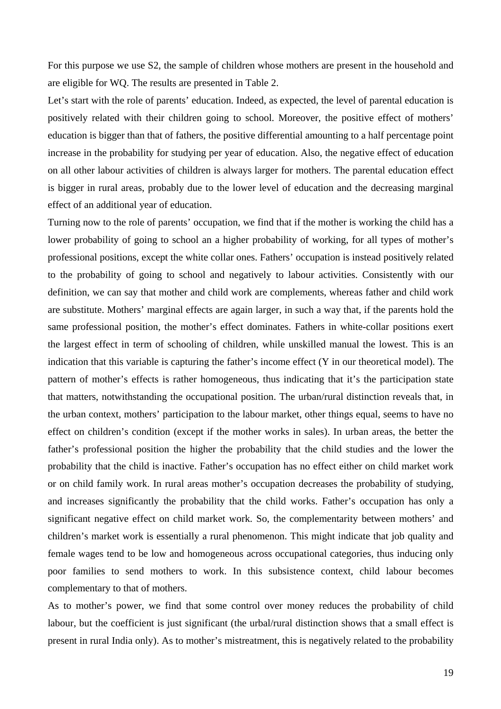For this purpose we use S2, the sample of children whose mothers are present in the household and are eligible for WQ. The results are presented in Table 2.

Let's start with the role of parents' education. Indeed, as expected, the level of parental education is positively related with their children going to school. Moreover, the positive effect of mothers' education is bigger than that of fathers, the positive differential amounting to a half percentage point increase in the probability for studying per year of education. Also, the negative effect of education on all other labour activities of children is always larger for mothers. The parental education effect is bigger in rural areas, probably due to the lower level of education and the decreasing marginal effect of an additional year of education.

Turning now to the role of parents' occupation, we find that if the mother is working the child has a lower probability of going to school an a higher probability of working, for all types of mother's professional positions, except the white collar ones. Fathers' occupation is instead positively related to the probability of going to school and negatively to labour activities. Consistently with our definition, we can say that mother and child work are complements, whereas father and child work are substitute. Mothers' marginal effects are again larger, in such a way that, if the parents hold the same professional position, the mother's effect dominates. Fathers in white-collar positions exert the largest effect in term of schooling of children, while unskilled manual the lowest. This is an indication that this variable is capturing the father's income effect (Y in our theoretical model). The pattern of mother's effects is rather homogeneous, thus indicating that it's the participation state that matters, notwithstanding the occupational position. The urban/rural distinction reveals that, in the urban context, mothers' participation to the labour market, other things equal, seems to have no effect on children's condition (except if the mother works in sales). In urban areas, the better the father's professional position the higher the probability that the child studies and the lower the probability that the child is inactive. Father's occupation has no effect either on child market work or on child family work. In rural areas mother's occupation decreases the probability of studying, and increases significantly the probability that the child works. Father's occupation has only a significant negative effect on child market work. So, the complementarity between mothers' and children's market work is essentially a rural phenomenon. This might indicate that job quality and female wages tend to be low and homogeneous across occupational categories, thus inducing only poor families to send mothers to work. In this subsistence context, child labour becomes complementary to that of mothers.

As to mother's power, we find that some control over money reduces the probability of child labour, but the coefficient is just significant (the urbal/rural distinction shows that a small effect is present in rural India only). As to mother's mistreatment, this is negatively related to the probability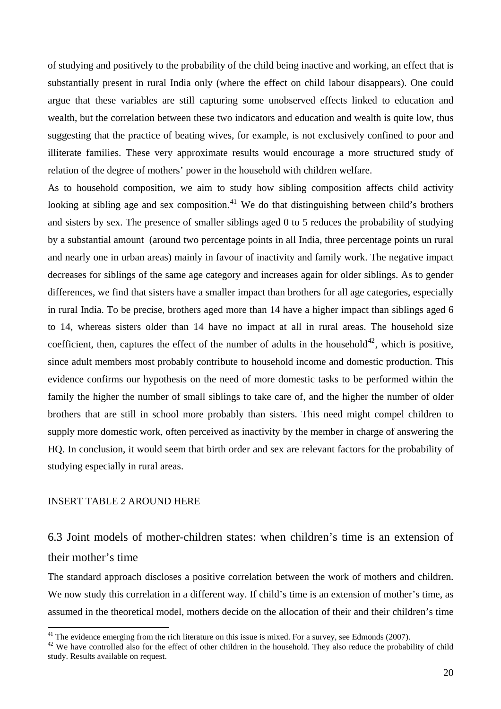of studying and positively to the probability of the child being inactive and working, an effect that is substantially present in rural India only (where the effect on child labour disappears). One could argue that these variables are still capturing some unobserved effects linked to education and wealth, but the correlation between these two indicators and education and wealth is quite low, thus suggesting that the practice of beating wives, for example, is not exclusively confined to poor and illiterate families. These very approximate results would encourage a more structured study of relation of the degree of mothers' power in the household with children welfare.

As to household composition, we aim to study how sibling composition affects child activity looking at sibling age and sex composition.<sup>[41](#page-19-0)</sup> We do that distinguishing between child's brothers and sisters by sex. The presence of smaller siblings aged 0 to 5 reduces the probability of studying by a substantial amount (around two percentage points in all India, three percentage points un rural and nearly one in urban areas) mainly in favour of inactivity and family work. The negative impact decreases for siblings of the same age category and increases again for older siblings. As to gender differences, we find that sisters have a smaller impact than brothers for all age categories, especially in rural India. To be precise, brothers aged more than 14 have a higher impact than siblings aged 6 to 14, whereas sisters older than 14 have no impact at all in rural areas. The household size coefficient, then, captures the effect of the number of adults in the household<sup>[42](#page-19-1)</sup>, which is positive, since adult members most probably contribute to household income and domestic production. This evidence confirms our hypothesis on the need of more domestic tasks to be performed within the family the higher the number of small siblings to take care of, and the higher the number of older brothers that are still in school more probably than sisters. This need might compel children to supply more domestic work, often perceived as inactivity by the member in charge of answering the HQ. In conclusion, it would seem that birth order and sex are relevant factors for the probability of studying especially in rural areas.

#### INSERT TABLE 2 AROUND HERE

 $\overline{a}$ 

## 6.3 Joint models of mother-children states: when children's time is an extension of their mother's time

The standard approach discloses a positive correlation between the work of mothers and children. We now study this correlation in a different way. If child's time is an extension of mother's time, as assumed in the theoretical model, mothers decide on the allocation of their and their children's time

<span id="page-19-1"></span><span id="page-19-0"></span>

<sup>&</sup>lt;sup>41</sup> The evidence emerging from the rich literature on this issue is mixed. For a survey, see Edmonds (2007).<br><sup>42</sup> We have controlled also for the effect of other children in the household. They also reduce the probabilit study. Results available on request.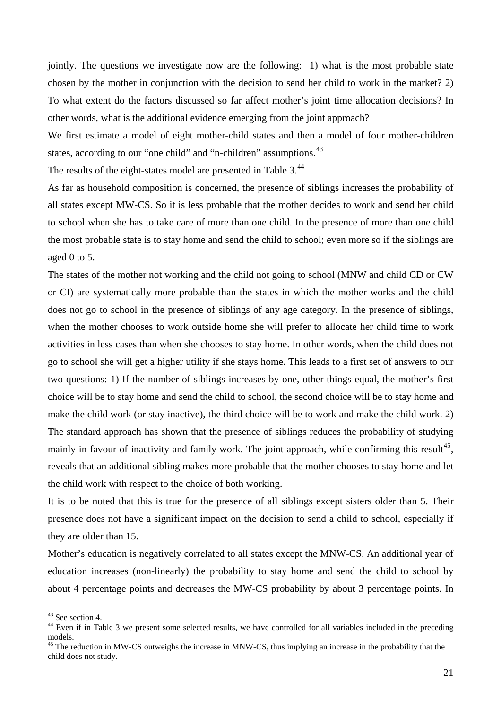jointly. The questions we investigate now are the following: 1) what is the most probable state chosen by the mother in conjunction with the decision to send her child to work in the market? 2) To what extent do the factors discussed so far affect mother's joint time allocation decisions? In other words, what is the additional evidence emerging from the joint approach?

We first estimate a model of eight mother-child states and then a model of four mother-children states, according to our "one child" and "n-children" assumptions.<sup>[43](#page-20-0)</sup>

The results of the eight-states model are presented in Table 3.<sup>[44](#page-20-1)</sup>

As far as household composition is concerned, the presence of siblings increases the probability of all states except MW-CS. So it is less probable that the mother decides to work and send her child to school when she has to take care of more than one child. In the presence of more than one child the most probable state is to stay home and send the child to school; even more so if the siblings are aged 0 to 5.

The states of the mother not working and the child not going to school (MNW and child CD or CW or CI) are systematically more probable than the states in which the mother works and the child does not go to school in the presence of siblings of any age category. In the presence of siblings, when the mother chooses to work outside home she will prefer to allocate her child time to work activities in less cases than when she chooses to stay home. In other words, when the child does not go to school she will get a higher utility if she stays home. This leads to a first set of answers to our two questions: 1) If the number of siblings increases by one, other things equal, the mother's first choice will be to stay home and send the child to school, the second choice will be to stay home and make the child work (or stay inactive), the third choice will be to work and make the child work. 2) The standard approach has shown that the presence of siblings reduces the probability of studying mainly in favour of inactivity and family work. The joint approach, while confirming this result<sup>[45](#page-20-2)</sup>, reveals that an additional sibling makes more probable that the mother chooses to stay home and let the child work with respect to the choice of both working.

It is to be noted that this is true for the presence of all siblings except sisters older than 5. Their presence does not have a significant impact on the decision to send a child to school, especially if they are older than 15.

Mother's education is negatively correlated to all states except the MNW-CS. An additional year of education increases (non-linearly) the probability to stay home and send the child to school by about 4 percentage points and decreases the MW-CS probability by about 3 percentage points. In

<span id="page-20-0"></span><sup>&</sup>lt;sup>43</sup> See section 4.

<span id="page-20-1"></span><sup>&</sup>lt;sup>44</sup> Even if in Table 3 we present some selected results, we have controlled for all variables included in the preceding models.

<span id="page-20-2"></span><sup>&</sup>lt;sup>45</sup> The reduction in MW-CS outweighs the increase in MNW-CS, thus implying an increase in the probability that the child does not study.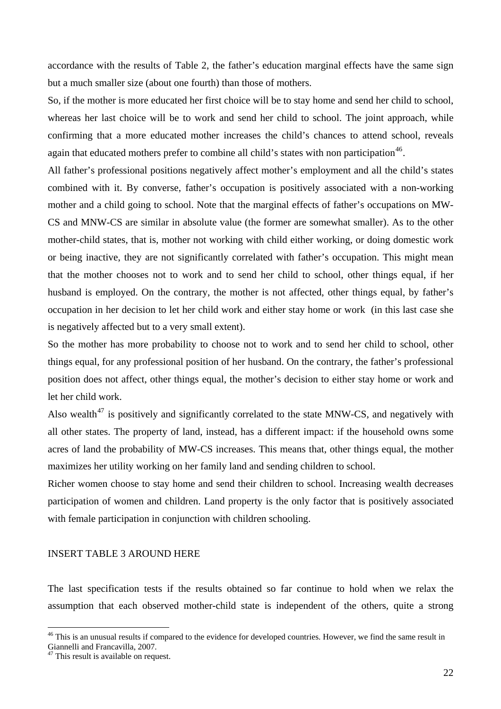accordance with the results of Table 2, the father's education marginal effects have the same sign but a much smaller size (about one fourth) than those of mothers.

So, if the mother is more educated her first choice will be to stay home and send her child to school, whereas her last choice will be to work and send her child to school. The joint approach, while confirming that a more educated mother increases the child's chances to attend school, reveals again that educated mothers prefer to combine all child's states with non participation<sup>[46](#page-21-0)</sup>.

All father's professional positions negatively affect mother's employment and all the child's states combined with it. By converse, father's occupation is positively associated with a non-working mother and a child going to school. Note that the marginal effects of father's occupations on MW-CS and MNW-CS are similar in absolute value (the former are somewhat smaller). As to the other mother-child states, that is, mother not working with child either working, or doing domestic work or being inactive, they are not significantly correlated with father's occupation. This might mean that the mother chooses not to work and to send her child to school, other things equal, if her husband is employed. On the contrary, the mother is not affected, other things equal, by father's occupation in her decision to let her child work and either stay home or work (in this last case she is negatively affected but to a very small extent).

So the mother has more probability to choose not to work and to send her child to school, other things equal, for any professional position of her husband. On the contrary, the father's professional position does not affect, other things equal, the mother's decision to either stay home or work and let her child work.

Also wealth<sup>[47](#page-21-1)</sup> is positively and significantly correlated to the state MNW-CS, and negatively with all other states. The property of land, instead, has a different impact: if the household owns some acres of land the probability of MW-CS increases. This means that, other things equal, the mother maximizes her utility working on her family land and sending children to school.

Richer women choose to stay home and send their children to school. Increasing wealth decreases participation of women and children. Land property is the only factor that is positively associated with female participation in conjunction with children schooling.

#### INSERT TABLE 3 AROUND HERE

The last specification tests if the results obtained so far continue to hold when we relax the assumption that each observed mother-child state is independent of the others, quite a strong

<span id="page-21-0"></span><sup>&</sup>lt;sup>46</sup> This is an unusual results if compared to the evidence for developed countries. However, we find the same result in Giannelli and Francavilla, 2007.

<span id="page-21-1"></span><sup>&</sup>lt;sup>47</sup> This result is available on request.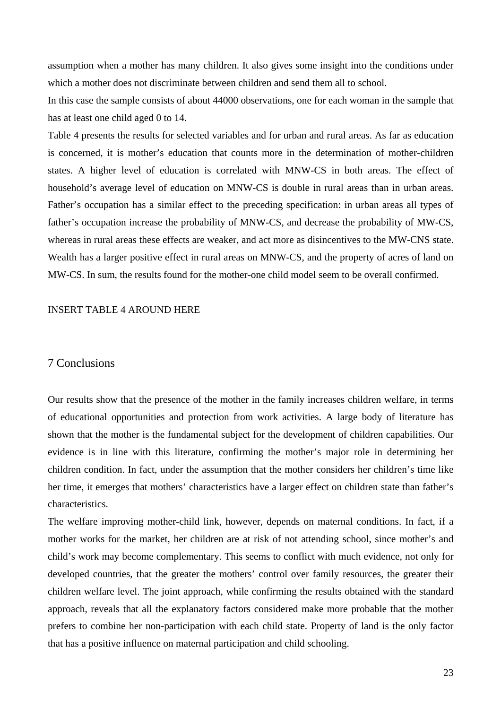assumption when a mother has many children. It also gives some insight into the conditions under which a mother does not discriminate between children and send them all to school.

In this case the sample consists of about 44000 observations, one for each woman in the sample that has at least one child aged 0 to 14.

Table 4 presents the results for selected variables and for urban and rural areas. As far as education is concerned, it is mother's education that counts more in the determination of mother-children states. A higher level of education is correlated with MNW-CS in both areas. The effect of household's average level of education on MNW-CS is double in rural areas than in urban areas. Father's occupation has a similar effect to the preceding specification: in urban areas all types of father's occupation increase the probability of MNW-CS, and decrease the probability of MW-CS, whereas in rural areas these effects are weaker, and act more as disincentives to the MW-CNS state. Wealth has a larger positive effect in rural areas on MNW-CS, and the property of acres of land on MW-CS. In sum, the results found for the mother-one child model seem to be overall confirmed.

### INSERT TABLE 4 AROUND HERE

## 7 Conclusions

Our results show that the presence of the mother in the family increases children welfare, in terms of educational opportunities and protection from work activities. A large body of literature has shown that the mother is the fundamental subject for the development of children capabilities. Our evidence is in line with this literature, confirming the mother's major role in determining her children condition. In fact, under the assumption that the mother considers her children's time like her time, it emerges that mothers' characteristics have a larger effect on children state than father's characteristics.

The welfare improving mother-child link, however, depends on maternal conditions. In fact, if a mother works for the market, her children are at risk of not attending school, since mother's and child's work may become complementary. This seems to conflict with much evidence, not only for developed countries, that the greater the mothers' control over family resources, the greater their children welfare level. The joint approach, while confirming the results obtained with the standard approach, reveals that all the explanatory factors considered make more probable that the mother prefers to combine her non-participation with each child state. Property of land is the only factor that has a positive influence on maternal participation and child schooling.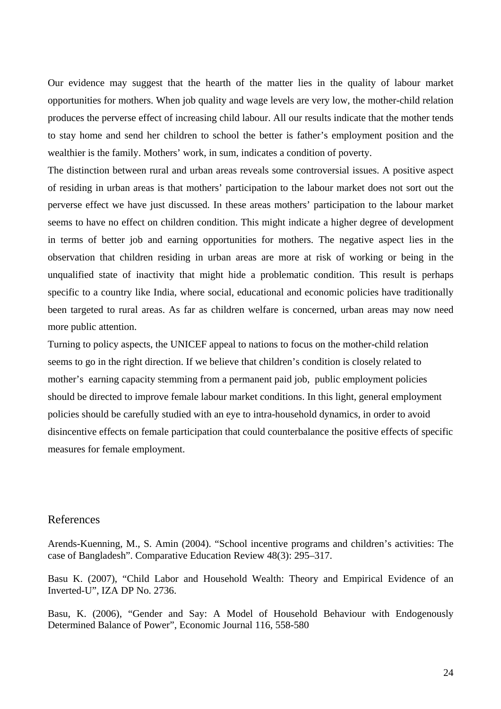Our evidence may suggest that the hearth of the matter lies in the quality of labour market opportunities for mothers. When job quality and wage levels are very low, the mother-child relation produces the perverse effect of increasing child labour. All our results indicate that the mother tends to stay home and send her children to school the better is father's employment position and the wealthier is the family. Mothers' work, in sum, indicates a condition of poverty.

The distinction between rural and urban areas reveals some controversial issues. A positive aspect of residing in urban areas is that mothers' participation to the labour market does not sort out the perverse effect we have just discussed. In these areas mothers' participation to the labour market seems to have no effect on children condition. This might indicate a higher degree of development in terms of better job and earning opportunities for mothers. The negative aspect lies in the observation that children residing in urban areas are more at risk of working or being in the unqualified state of inactivity that might hide a problematic condition. This result is perhaps specific to a country like India, where social, educational and economic policies have traditionally been targeted to rural areas. As far as children welfare is concerned, urban areas may now need more public attention.

Turning to policy aspects, the UNICEF appeal to nations to focus on the mother-child relation seems to go in the right direction. If we believe that children's condition is closely related to mother's earning capacity stemming from a permanent paid job, public employment policies should be directed to improve female labour market conditions. In this light, general employment policies should be carefully studied with an eye to intra-household dynamics, in order to avoid disincentive effects on female participation that could counterbalance the positive effects of specific measures for female employment.

### References

Arends-Kuenning, M., S. Amin (2004). "School incentive programs and children's activities: The case of Bangladesh". Comparative Education Review 48(3): 295–317.

Basu K. (2007), "Child Labor and Household Wealth: Theory and Empirical Evidence of an Inverted-U", IZA DP No. 2736.

Basu, K. (2006), "Gender and Say: A Model of Household Behaviour with Endogenously Determined Balance of Power", Economic Journal 116, 558-580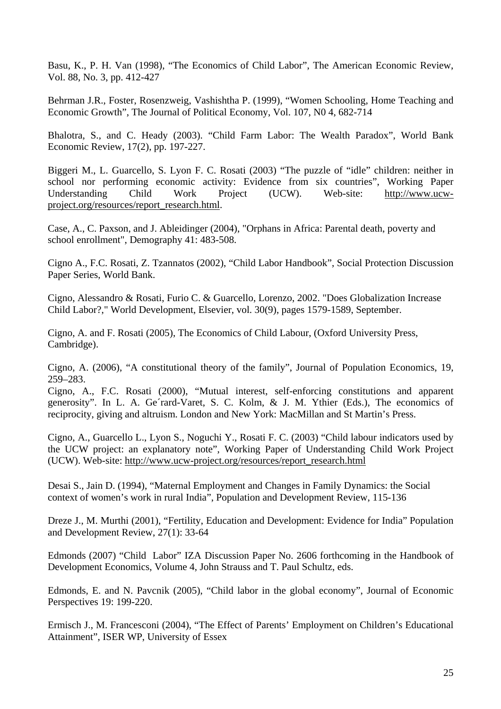Basu, K., P. H. Van (1998), "The Economics of Child Labor", The American Economic Review, Vol. 88, No. 3, pp. 412-427

Behrman J.R., Foster, Rosenzweig, Vashishtha P. (1999), "Women Schooling, Home Teaching and Economic Growth", The Journal of Political Economy, Vol. 107, N0 4, 682-714

Bhalotra, S., and C. Heady (2003). "Child Farm Labor: The Wealth Paradox", World Bank Economic Review, 17(2), pp. 197-227.

Biggeri M., L. Guarcello, S. Lyon F. C. Rosati (2003) "The puzzle of "idle" children: neither in school nor performing economic activity: Evidence from six countries", Working Paper Understanding Child Work Project (UCW). Web-site: http://www.ucwproject.org/resources/report\_research.html.

Case, A., C. Paxson, and J. Ableidinger (2004), "Orphans in Africa: Parental death, poverty and school enrollment", Demography 41: 483-508.

Cigno A., F.C. Rosati, Z. Tzannatos (2002), "Child Labor Handbook", Social Protection Discussion Paper Series, World Bank.

Cigno, Alessandro & Rosati, Furio C. & Guarcello, Lorenzo, 2002. "Does Globalization Increase Child Labor?," World Development, Elsevier, vol. 30(9), pages 1579-1589, September.

Cigno, A. and F. Rosati (2005), The Economics of Child Labour, (Oxford University Press, Cambridge).

Cigno, A. (2006), "A constitutional theory of the family", Journal of Population Economics, 19, 259–283.

Cigno, A., F.C. Rosati (2000), "Mutual interest, self-enforcing constitutions and apparent generosity". In L. A. Ge´rard-Varet, S. C. Kolm, & J. M. Ythier (Eds.), The economics of reciprocity, giving and altruism. London and New York: MacMillan and St Martin's Press.

Cigno, A., Guarcello L., Lyon S., Noguchi Y., Rosati F. C. (2003) "Child labour indicators used by the UCW project: an explanatory note", Working Paper of Understanding Child Work Project (UCW). Web-site: http://www.ucw-project.org/resources/report\_research.html

Desai S., Jain D. (1994), "Maternal Employment and Changes in Family Dynamics: the Social context of women's work in rural India", Population and Development Review, 115-136

Dreze J., M. Murthi (2001), "Fertility, Education and Development: Evidence for India" Population and Development Review, 27(1): 33-64

Edmonds (2007) "Child Labor" IZA Discussion Paper No. 2606 forthcoming in the Handbook of Development Economics, Volume 4, John Strauss and T. Paul Schultz, eds.

Edmonds, E. and N. Pavcnik (2005), "Child labor in the global economy", Journal of Economic Perspectives 19: 199-220.

Ermisch J., M. Francesconi (2004), "The Effect of Parents' Employment on Children's Educational Attainment", ISER WP, University of Essex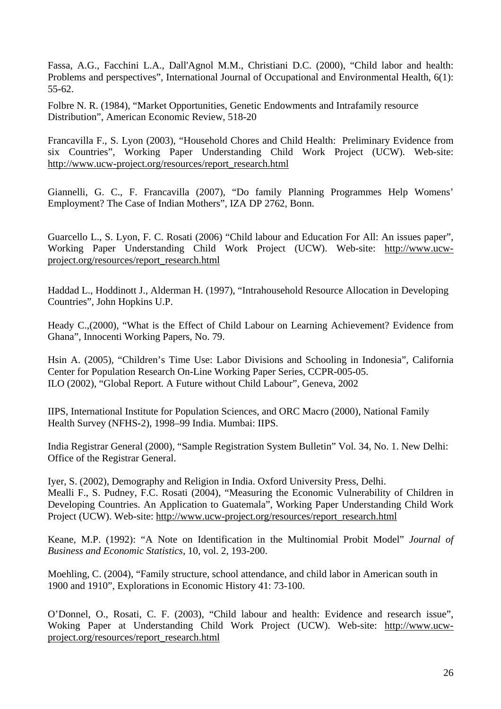Fassa, A.G., Facchini L.A., Dall'Agnol M.M., Christiani D.C. (2000), "Child labor and health: Problems and perspectives", International Journal of Occupational and Environmental Health, 6(1): 55-62.

Folbre N. R. (1984), "Market Opportunities, Genetic Endowments and Intrafamily resource Distribution", American Economic Review, 518-20

Francavilla F., S. Lyon (2003), "Household Chores and Child Health: Preliminary Evidence from six Countries", Working Paper Understanding Child Work Project (UCW). Web-site: http://www.ucw-project.org/resources/report\_research.html

Giannelli, G. C., F. Francavilla (2007), "Do family Planning Programmes Help Womens' Employment? The Case of Indian Mothers", IZA DP 2762, Bonn.

Guarcello L., S. Lyon, F. C. Rosati (2006) "Child labour and Education For All: An issues paper", Working Paper Understanding Child Work Project (UCW). Web-site: http://www.ucwproject.org/resources/report\_research.html

Haddad L., Hoddinott J., Alderman H. (1997), "Intrahousehold Resource Allocation in Developing Countries", John Hopkins U.P.

Heady C.,(2000), "What is the Effect of Child Labour on Learning Achievement? Evidence from Ghana", Innocenti Working Papers, No. 79.

Hsin A. (2005), "Children's Time Use: Labor Divisions and Schooling in Indonesia", California Center for Population Research On-Line Working Paper Series, CCPR-005-05. ILO (2002), "Global Report. A Future without Child Labour", Geneva, 2002

IIPS, International Institute for Population Sciences, and ORC Macro (2000), National Family Health Survey (NFHS-2), 1998–99 India. Mumbai: IIPS.

India Registrar General (2000), "Sample Registration System Bulletin" Vol. 34, No. 1. New Delhi: Office of the Registrar General.

Iyer, S. (2002), Demography and Religion in India. Oxford University Press, Delhi. Mealli F., S. Pudney, F.C. Rosati (2004), "Measuring the Economic Vulnerability of Children in Developing Countries. An Application to Guatemala", Working Paper Understanding Child Work Project (UCW). Web-site: http://www.ucw-project.org/resources/report\_research.html

Keane, M.P. (1992): "A Note on Identification in the Multinomial Probit Model" *Journal of Business and Economic Statistics*, 10, vol. 2, 193-200.

Moehling, C. (2004), "Family structure, school attendance, and child labor in American south in 1900 and 1910", Explorations in Economic History 41: 73-100.

O'Donnel, O., Rosati, C. F. (2003), "Child labour and health: Evidence and research issue", Woking Paper at Understanding Child Work Project (UCW). Web-site: http://www.ucwproject.org/resources/report\_research.html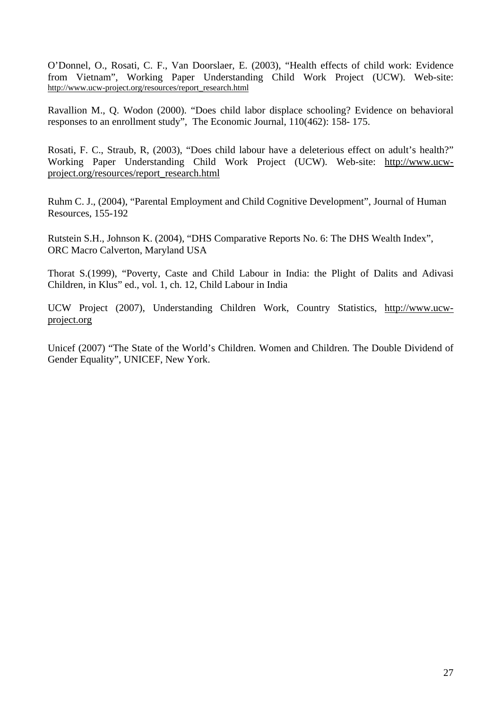O'Donnel, O., Rosati, C. F., Van Doorslaer, E. (2003), "Health effects of child work: Evidence from Vietnam", Working Paper Understanding Child Work Project (UCW). Web-site: [http://www.ucw-project.org/resources/report\\_research.html](http://www.ucw-project.org/resources/report_research.html)

Ravallion M., Q. Wodon (2000). "Does child labor displace schooling? Evidence on behavioral responses to an enrollment study", The Economic Journal, 110(462): 158- 175.

Rosati, F. C., Straub, R, (2003), "Does child labour have a deleterious effect on adult's health?" Working Paper Understanding Child Work Project (UCW). Web-site: [http://www.ucw](http://www.ucw-project.org/resources/report_research.html)[project.org/resources/report\\_research.html](http://www.ucw-project.org/resources/report_research.html)

Ruhm C. J., (2004), "Parental Employment and Child Cognitive Development", Journal of Human Resources, 155-192

Rutstein S.H., Johnson K. (2004), "DHS Comparative Reports No. 6: The DHS Wealth Index", ORC Macro Calverton, Maryland USA

Thorat S.(1999), "Poverty, Caste and Child Labour in India: the Plight of Dalits and Adivasi Children, in Klus" ed., vol. 1, ch. 12, Child Labour in India

UCW Project (2007), Understanding Children Work, Country Statistics, http://www.ucwproject.org

Unicef (2007) "The State of the World's Children. Women and Children. The Double Dividend of Gender Equality", UNICEF, New York.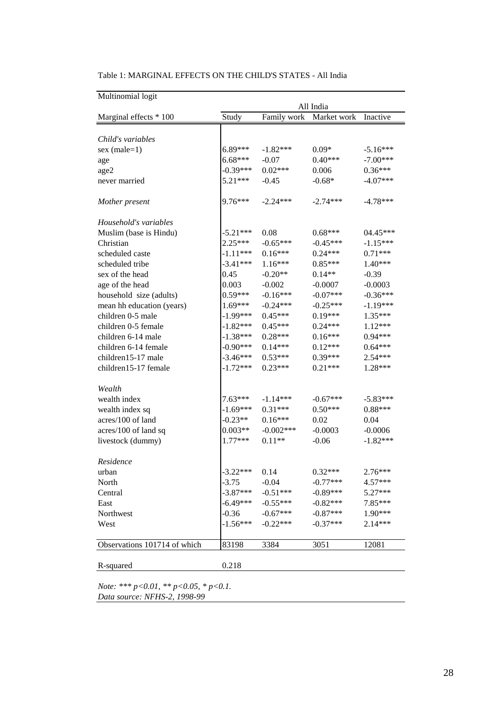| All India<br>Study<br>Marginal effects * 100<br>Family work<br>Market work<br>Inactive<br>Child's variables<br>6.89***<br>$0.09*$<br>$sex$ (male=1)<br>$-1.82***$<br>$-5.16***$<br>$-0.07$<br>$6.68***$<br>$0.40***$<br>$-7.00***$<br>age<br>$-0.39***$<br>$0.02***$<br>$0.36***$<br>0.006<br>age2<br>$5.21***$<br>$-0.68*$<br>$-4.07***$<br>$-0.45$<br>never married<br>$9.76***$<br>$-4.78***$<br>$-2.24***$<br>$-2.74***$<br>Mother present<br>Household's variables<br>Muslim (base is Hindu)<br>$-5.21***$<br>0.08<br>$0.68***$<br>$04.45***$<br>2.25***<br>$-1.15***$<br>$-0.65***$<br>$-0.45***$<br>Christian<br>$0.24***$<br>$0.71***$<br>scheduled caste<br>$-1.11***$<br>$0.16***$<br>$-3.41***$<br>$0.85***$<br>1.40***<br>scheduled tribe<br>$1.16***$<br>$-0.20**$<br>$0.14**$<br>sex of the head<br>0.45<br>$-0.39$<br>0.003<br>$-0.0003$<br>age of the head<br>$-0.002$<br>$-0.0007$<br>$0.59***$<br>$-0.16***$<br>$-0.07***$<br>$-0.36***$<br>household size (adults)<br>$1.69***$<br>$-0.25***$<br>$-1.19***$<br>mean hh education (years)<br>$-0.24***$<br>$-1.99***$<br>$0.45***$<br>$0.19***$<br>1.35***<br>children 0-5 male<br>$-1.82***$<br>$0.45***$<br>$0.24***$<br>1.12***<br>children 0-5 female<br>$-1.38***$<br>$0.28***$<br>$0.16***$<br>0.94***<br>children 6-14 male<br>$-0.90***$<br>$0.14***$<br>$0.12***$<br>$0.64***$<br>children 6-14 female<br>$-3.46***$<br>$0.53***$<br>0.39***<br>$2.54***$<br>children15-17 male<br>children15-17 female<br>1.28***<br>$-1.72***$<br>$0.23***$<br>$0.21***$<br>Wealth<br>$7.63***$<br>$-1.14***$<br>$-0.67***$<br>$-5.83***$<br>wealth index<br>wealth index sq<br>$-1.69***$<br>$0.31***$<br>$0.50***$<br>$0.88***$<br>$-0.23**$<br>acres/100 of land<br>$0.16***$<br>0.02<br>0.04<br>$-0.002$ ***<br>$0.003**$<br>$-0.0003$<br>$-0.0006$<br>acres/100 of land sq<br>1.77***<br>$-1.82***$<br>$0.11**$<br>$-0.06$<br>livestock (dummy)<br>Residence<br>$-3.22***$<br>urban<br>$0.32***$<br>2.76***<br>0.14<br>4.57***<br>$-3.75$<br>$-0.04$<br>$-0.77***$<br>North<br>$-3.87***$<br>$-0.51***$<br>$-0.89***$<br>5.27***<br>Central<br>$-6.49***$<br>$-0.55***$<br>7.85***<br>East<br>$-0.82***$<br>$-0.36$<br>$-0.67***$<br>$-0.87***$<br>1.90***<br>Northwest<br>$-1.56***$<br>$-0.22***$<br>$-0.37***$<br>$2.14***$<br>West<br>Observations 101714 of which<br>83198<br>3051<br>12081<br>3384<br>0.218<br>R-squared | Multinomial logit |  |  |  |  |  |  |  |  |
|--------------------------------------------------------------------------------------------------------------------------------------------------------------------------------------------------------------------------------------------------------------------------------------------------------------------------------------------------------------------------------------------------------------------------------------------------------------------------------------------------------------------------------------------------------------------------------------------------------------------------------------------------------------------------------------------------------------------------------------------------------------------------------------------------------------------------------------------------------------------------------------------------------------------------------------------------------------------------------------------------------------------------------------------------------------------------------------------------------------------------------------------------------------------------------------------------------------------------------------------------------------------------------------------------------------------------------------------------------------------------------------------------------------------------------------------------------------------------------------------------------------------------------------------------------------------------------------------------------------------------------------------------------------------------------------------------------------------------------------------------------------------------------------------------------------------------------------------------------------------------------------------------------------------------------------------------------------------------------------------------------------------------------------------------------------------------------------------------------------------------------------------------------------------------------------------------------------------------------------------------------------------------------------------------------------------------------------------------------------------------------------------------|-------------------|--|--|--|--|--|--|--|--|
|                                                                                                                                                                                                                                                                                                                                                                                                                                                                                                                                                                                                                                                                                                                                                                                                                                                                                                                                                                                                                                                                                                                                                                                                                                                                                                                                                                                                                                                                                                                                                                                                                                                                                                                                                                                                                                                                                                                                                                                                                                                                                                                                                                                                                                                                                                                                                                                                  |                   |  |  |  |  |  |  |  |  |
|                                                                                                                                                                                                                                                                                                                                                                                                                                                                                                                                                                                                                                                                                                                                                                                                                                                                                                                                                                                                                                                                                                                                                                                                                                                                                                                                                                                                                                                                                                                                                                                                                                                                                                                                                                                                                                                                                                                                                                                                                                                                                                                                                                                                                                                                                                                                                                                                  |                   |  |  |  |  |  |  |  |  |
|                                                                                                                                                                                                                                                                                                                                                                                                                                                                                                                                                                                                                                                                                                                                                                                                                                                                                                                                                                                                                                                                                                                                                                                                                                                                                                                                                                                                                                                                                                                                                                                                                                                                                                                                                                                                                                                                                                                                                                                                                                                                                                                                                                                                                                                                                                                                                                                                  |                   |  |  |  |  |  |  |  |  |
|                                                                                                                                                                                                                                                                                                                                                                                                                                                                                                                                                                                                                                                                                                                                                                                                                                                                                                                                                                                                                                                                                                                                                                                                                                                                                                                                                                                                                                                                                                                                                                                                                                                                                                                                                                                                                                                                                                                                                                                                                                                                                                                                                                                                                                                                                                                                                                                                  |                   |  |  |  |  |  |  |  |  |
|                                                                                                                                                                                                                                                                                                                                                                                                                                                                                                                                                                                                                                                                                                                                                                                                                                                                                                                                                                                                                                                                                                                                                                                                                                                                                                                                                                                                                                                                                                                                                                                                                                                                                                                                                                                                                                                                                                                                                                                                                                                                                                                                                                                                                                                                                                                                                                                                  |                   |  |  |  |  |  |  |  |  |
|                                                                                                                                                                                                                                                                                                                                                                                                                                                                                                                                                                                                                                                                                                                                                                                                                                                                                                                                                                                                                                                                                                                                                                                                                                                                                                                                                                                                                                                                                                                                                                                                                                                                                                                                                                                                                                                                                                                                                                                                                                                                                                                                                                                                                                                                                                                                                                                                  |                   |  |  |  |  |  |  |  |  |
|                                                                                                                                                                                                                                                                                                                                                                                                                                                                                                                                                                                                                                                                                                                                                                                                                                                                                                                                                                                                                                                                                                                                                                                                                                                                                                                                                                                                                                                                                                                                                                                                                                                                                                                                                                                                                                                                                                                                                                                                                                                                                                                                                                                                                                                                                                                                                                                                  |                   |  |  |  |  |  |  |  |  |
|                                                                                                                                                                                                                                                                                                                                                                                                                                                                                                                                                                                                                                                                                                                                                                                                                                                                                                                                                                                                                                                                                                                                                                                                                                                                                                                                                                                                                                                                                                                                                                                                                                                                                                                                                                                                                                                                                                                                                                                                                                                                                                                                                                                                                                                                                                                                                                                                  |                   |  |  |  |  |  |  |  |  |
|                                                                                                                                                                                                                                                                                                                                                                                                                                                                                                                                                                                                                                                                                                                                                                                                                                                                                                                                                                                                                                                                                                                                                                                                                                                                                                                                                                                                                                                                                                                                                                                                                                                                                                                                                                                                                                                                                                                                                                                                                                                                                                                                                                                                                                                                                                                                                                                                  |                   |  |  |  |  |  |  |  |  |
|                                                                                                                                                                                                                                                                                                                                                                                                                                                                                                                                                                                                                                                                                                                                                                                                                                                                                                                                                                                                                                                                                                                                                                                                                                                                                                                                                                                                                                                                                                                                                                                                                                                                                                                                                                                                                                                                                                                                                                                                                                                                                                                                                                                                                                                                                                                                                                                                  |                   |  |  |  |  |  |  |  |  |
|                                                                                                                                                                                                                                                                                                                                                                                                                                                                                                                                                                                                                                                                                                                                                                                                                                                                                                                                                                                                                                                                                                                                                                                                                                                                                                                                                                                                                                                                                                                                                                                                                                                                                                                                                                                                                                                                                                                                                                                                                                                                                                                                                                                                                                                                                                                                                                                                  |                   |  |  |  |  |  |  |  |  |
|                                                                                                                                                                                                                                                                                                                                                                                                                                                                                                                                                                                                                                                                                                                                                                                                                                                                                                                                                                                                                                                                                                                                                                                                                                                                                                                                                                                                                                                                                                                                                                                                                                                                                                                                                                                                                                                                                                                                                                                                                                                                                                                                                                                                                                                                                                                                                                                                  |                   |  |  |  |  |  |  |  |  |
|                                                                                                                                                                                                                                                                                                                                                                                                                                                                                                                                                                                                                                                                                                                                                                                                                                                                                                                                                                                                                                                                                                                                                                                                                                                                                                                                                                                                                                                                                                                                                                                                                                                                                                                                                                                                                                                                                                                                                                                                                                                                                                                                                                                                                                                                                                                                                                                                  |                   |  |  |  |  |  |  |  |  |
|                                                                                                                                                                                                                                                                                                                                                                                                                                                                                                                                                                                                                                                                                                                                                                                                                                                                                                                                                                                                                                                                                                                                                                                                                                                                                                                                                                                                                                                                                                                                                                                                                                                                                                                                                                                                                                                                                                                                                                                                                                                                                                                                                                                                                                                                                                                                                                                                  |                   |  |  |  |  |  |  |  |  |
|                                                                                                                                                                                                                                                                                                                                                                                                                                                                                                                                                                                                                                                                                                                                                                                                                                                                                                                                                                                                                                                                                                                                                                                                                                                                                                                                                                                                                                                                                                                                                                                                                                                                                                                                                                                                                                                                                                                                                                                                                                                                                                                                                                                                                                                                                                                                                                                                  |                   |  |  |  |  |  |  |  |  |
|                                                                                                                                                                                                                                                                                                                                                                                                                                                                                                                                                                                                                                                                                                                                                                                                                                                                                                                                                                                                                                                                                                                                                                                                                                                                                                                                                                                                                                                                                                                                                                                                                                                                                                                                                                                                                                                                                                                                                                                                                                                                                                                                                                                                                                                                                                                                                                                                  |                   |  |  |  |  |  |  |  |  |
|                                                                                                                                                                                                                                                                                                                                                                                                                                                                                                                                                                                                                                                                                                                                                                                                                                                                                                                                                                                                                                                                                                                                                                                                                                                                                                                                                                                                                                                                                                                                                                                                                                                                                                                                                                                                                                                                                                                                                                                                                                                                                                                                                                                                                                                                                                                                                                                                  |                   |  |  |  |  |  |  |  |  |
|                                                                                                                                                                                                                                                                                                                                                                                                                                                                                                                                                                                                                                                                                                                                                                                                                                                                                                                                                                                                                                                                                                                                                                                                                                                                                                                                                                                                                                                                                                                                                                                                                                                                                                                                                                                                                                                                                                                                                                                                                                                                                                                                                                                                                                                                                                                                                                                                  |                   |  |  |  |  |  |  |  |  |
|                                                                                                                                                                                                                                                                                                                                                                                                                                                                                                                                                                                                                                                                                                                                                                                                                                                                                                                                                                                                                                                                                                                                                                                                                                                                                                                                                                                                                                                                                                                                                                                                                                                                                                                                                                                                                                                                                                                                                                                                                                                                                                                                                                                                                                                                                                                                                                                                  |                   |  |  |  |  |  |  |  |  |
|                                                                                                                                                                                                                                                                                                                                                                                                                                                                                                                                                                                                                                                                                                                                                                                                                                                                                                                                                                                                                                                                                                                                                                                                                                                                                                                                                                                                                                                                                                                                                                                                                                                                                                                                                                                                                                                                                                                                                                                                                                                                                                                                                                                                                                                                                                                                                                                                  |                   |  |  |  |  |  |  |  |  |
|                                                                                                                                                                                                                                                                                                                                                                                                                                                                                                                                                                                                                                                                                                                                                                                                                                                                                                                                                                                                                                                                                                                                                                                                                                                                                                                                                                                                                                                                                                                                                                                                                                                                                                                                                                                                                                                                                                                                                                                                                                                                                                                                                                                                                                                                                                                                                                                                  |                   |  |  |  |  |  |  |  |  |
|                                                                                                                                                                                                                                                                                                                                                                                                                                                                                                                                                                                                                                                                                                                                                                                                                                                                                                                                                                                                                                                                                                                                                                                                                                                                                                                                                                                                                                                                                                                                                                                                                                                                                                                                                                                                                                                                                                                                                                                                                                                                                                                                                                                                                                                                                                                                                                                                  |                   |  |  |  |  |  |  |  |  |
|                                                                                                                                                                                                                                                                                                                                                                                                                                                                                                                                                                                                                                                                                                                                                                                                                                                                                                                                                                                                                                                                                                                                                                                                                                                                                                                                                                                                                                                                                                                                                                                                                                                                                                                                                                                                                                                                                                                                                                                                                                                                                                                                                                                                                                                                                                                                                                                                  |                   |  |  |  |  |  |  |  |  |
|                                                                                                                                                                                                                                                                                                                                                                                                                                                                                                                                                                                                                                                                                                                                                                                                                                                                                                                                                                                                                                                                                                                                                                                                                                                                                                                                                                                                                                                                                                                                                                                                                                                                                                                                                                                                                                                                                                                                                                                                                                                                                                                                                                                                                                                                                                                                                                                                  |                   |  |  |  |  |  |  |  |  |
|                                                                                                                                                                                                                                                                                                                                                                                                                                                                                                                                                                                                                                                                                                                                                                                                                                                                                                                                                                                                                                                                                                                                                                                                                                                                                                                                                                                                                                                                                                                                                                                                                                                                                                                                                                                                                                                                                                                                                                                                                                                                                                                                                                                                                                                                                                                                                                                                  |                   |  |  |  |  |  |  |  |  |
|                                                                                                                                                                                                                                                                                                                                                                                                                                                                                                                                                                                                                                                                                                                                                                                                                                                                                                                                                                                                                                                                                                                                                                                                                                                                                                                                                                                                                                                                                                                                                                                                                                                                                                                                                                                                                                                                                                                                                                                                                                                                                                                                                                                                                                                                                                                                                                                                  |                   |  |  |  |  |  |  |  |  |
|                                                                                                                                                                                                                                                                                                                                                                                                                                                                                                                                                                                                                                                                                                                                                                                                                                                                                                                                                                                                                                                                                                                                                                                                                                                                                                                                                                                                                                                                                                                                                                                                                                                                                                                                                                                                                                                                                                                                                                                                                                                                                                                                                                                                                                                                                                                                                                                                  |                   |  |  |  |  |  |  |  |  |
|                                                                                                                                                                                                                                                                                                                                                                                                                                                                                                                                                                                                                                                                                                                                                                                                                                                                                                                                                                                                                                                                                                                                                                                                                                                                                                                                                                                                                                                                                                                                                                                                                                                                                                                                                                                                                                                                                                                                                                                                                                                                                                                                                                                                                                                                                                                                                                                                  |                   |  |  |  |  |  |  |  |  |
|                                                                                                                                                                                                                                                                                                                                                                                                                                                                                                                                                                                                                                                                                                                                                                                                                                                                                                                                                                                                                                                                                                                                                                                                                                                                                                                                                                                                                                                                                                                                                                                                                                                                                                                                                                                                                                                                                                                                                                                                                                                                                                                                                                                                                                                                                                                                                                                                  |                   |  |  |  |  |  |  |  |  |
|                                                                                                                                                                                                                                                                                                                                                                                                                                                                                                                                                                                                                                                                                                                                                                                                                                                                                                                                                                                                                                                                                                                                                                                                                                                                                                                                                                                                                                                                                                                                                                                                                                                                                                                                                                                                                                                                                                                                                                                                                                                                                                                                                                                                                                                                                                                                                                                                  |                   |  |  |  |  |  |  |  |  |
|                                                                                                                                                                                                                                                                                                                                                                                                                                                                                                                                                                                                                                                                                                                                                                                                                                                                                                                                                                                                                                                                                                                                                                                                                                                                                                                                                                                                                                                                                                                                                                                                                                                                                                                                                                                                                                                                                                                                                                                                                                                                                                                                                                                                                                                                                                                                                                                                  |                   |  |  |  |  |  |  |  |  |
|                                                                                                                                                                                                                                                                                                                                                                                                                                                                                                                                                                                                                                                                                                                                                                                                                                                                                                                                                                                                                                                                                                                                                                                                                                                                                                                                                                                                                                                                                                                                                                                                                                                                                                                                                                                                                                                                                                                                                                                                                                                                                                                                                                                                                                                                                                                                                                                                  |                   |  |  |  |  |  |  |  |  |
|                                                                                                                                                                                                                                                                                                                                                                                                                                                                                                                                                                                                                                                                                                                                                                                                                                                                                                                                                                                                                                                                                                                                                                                                                                                                                                                                                                                                                                                                                                                                                                                                                                                                                                                                                                                                                                                                                                                                                                                                                                                                                                                                                                                                                                                                                                                                                                                                  |                   |  |  |  |  |  |  |  |  |
|                                                                                                                                                                                                                                                                                                                                                                                                                                                                                                                                                                                                                                                                                                                                                                                                                                                                                                                                                                                                                                                                                                                                                                                                                                                                                                                                                                                                                                                                                                                                                                                                                                                                                                                                                                                                                                                                                                                                                                                                                                                                                                                                                                                                                                                                                                                                                                                                  |                   |  |  |  |  |  |  |  |  |
|                                                                                                                                                                                                                                                                                                                                                                                                                                                                                                                                                                                                                                                                                                                                                                                                                                                                                                                                                                                                                                                                                                                                                                                                                                                                                                                                                                                                                                                                                                                                                                                                                                                                                                                                                                                                                                                                                                                                                                                                                                                                                                                                                                                                                                                                                                                                                                                                  |                   |  |  |  |  |  |  |  |  |
|                                                                                                                                                                                                                                                                                                                                                                                                                                                                                                                                                                                                                                                                                                                                                                                                                                                                                                                                                                                                                                                                                                                                                                                                                                                                                                                                                                                                                                                                                                                                                                                                                                                                                                                                                                                                                                                                                                                                                                                                                                                                                                                                                                                                                                                                                                                                                                                                  |                   |  |  |  |  |  |  |  |  |
|                                                                                                                                                                                                                                                                                                                                                                                                                                                                                                                                                                                                                                                                                                                                                                                                                                                                                                                                                                                                                                                                                                                                                                                                                                                                                                                                                                                                                                                                                                                                                                                                                                                                                                                                                                                                                                                                                                                                                                                                                                                                                                                                                                                                                                                                                                                                                                                                  |                   |  |  |  |  |  |  |  |  |
|                                                                                                                                                                                                                                                                                                                                                                                                                                                                                                                                                                                                                                                                                                                                                                                                                                                                                                                                                                                                                                                                                                                                                                                                                                                                                                                                                                                                                                                                                                                                                                                                                                                                                                                                                                                                                                                                                                                                                                                                                                                                                                                                                                                                                                                                                                                                                                                                  |                   |  |  |  |  |  |  |  |  |
|                                                                                                                                                                                                                                                                                                                                                                                                                                                                                                                                                                                                                                                                                                                                                                                                                                                                                                                                                                                                                                                                                                                                                                                                                                                                                                                                                                                                                                                                                                                                                                                                                                                                                                                                                                                                                                                                                                                                                                                                                                                                                                                                                                                                                                                                                                                                                                                                  |                   |  |  |  |  |  |  |  |  |
|                                                                                                                                                                                                                                                                                                                                                                                                                                                                                                                                                                                                                                                                                                                                                                                                                                                                                                                                                                                                                                                                                                                                                                                                                                                                                                                                                                                                                                                                                                                                                                                                                                                                                                                                                                                                                                                                                                                                                                                                                                                                                                                                                                                                                                                                                                                                                                                                  |                   |  |  |  |  |  |  |  |  |

### Table 1: MARGINAL EFFECTS ON THE CHILD'S STATES - All India

*Note: \*\*\* p<0.01, \*\* p<0.05, \* p<0.1. Data source: NFHS-2, 1998-99*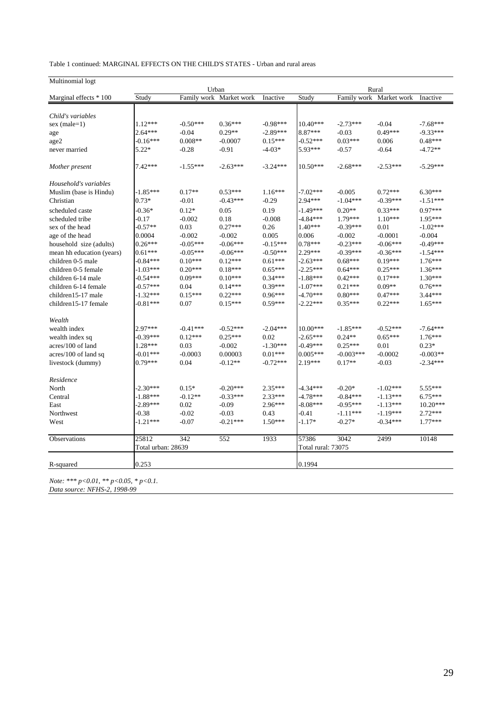Table 1 continued: MARGINAL EFFECTS ON THE CHILD'S STATES - Urban and rural areas

| Multinomial logt          |                    |                                           |            |            |                    |             |                      |            |  |  |
|---------------------------|--------------------|-------------------------------------------|------------|------------|--------------------|-------------|----------------------|------------|--|--|
| Marginal effects * 100    |                    | Urban<br>Study<br>Family work Market work |            |            | Study              | Family work | Rural<br>Market work | Inactive   |  |  |
|                           |                    |                                           |            | Inactive   |                    |             |                      |            |  |  |
| Child's variables         |                    |                                           |            |            |                    |             |                      |            |  |  |
| $sex$ (male=1)            | $1.12***$          | $-0.50***$                                | $0.36***$  | $-0.98***$ | $10.40***$         | $-2.73***$  | $-0.04$              | $-7.68***$ |  |  |
| age                       | $2.64***$          | $-0.04$                                   | $0.29**$   | $-2.89***$ | 8.87***            | $-0.03$     | $0.49***$            | $-9.33***$ |  |  |
| age2                      | $-0.16***$         | $0.008**$                                 | $-0.0007$  | $0.15***$  | $-0.52***$         | $0.03***$   | 0.006                | $0.48***$  |  |  |
| never married             | $5.22*$            | $-0.28$                                   | $-0.91$    | $-4-03*$   | 5.93***            | $-0.57$     | $-0.64$              | $-4.72**$  |  |  |
| Mother present            | $7.42***$          | $-1.55***$                                | $-2.63***$ | $-3.24***$ | $10.50***$         | $-2.68***$  | $-2.53***$           | $-5.29***$ |  |  |
| Household's variables     |                    |                                           |            |            |                    |             |                      |            |  |  |
| Muslim (base is Hindu)    | $-1.85***$         | $0.17**$                                  | $0.53***$  | $1.16***$  | -7.02***           | $-0.005$    | $0.72***$            | $6.30***$  |  |  |
| Christian                 | $0.73*$            | $-0.01$                                   | $-0.43***$ | $-0.29$    | $2.94***$          | $-1.04***$  | $-0.39***$           | $-1.51***$ |  |  |
| scheduled caste           | $-0.36*$           | $0.12*$                                   | 0.05       | 0.19       | $-1.49***$         | $0.20**$    | $0.33***$            | $0.97***$  |  |  |
| scheduled tribe           | -0.17              | $-0.002$                                  | 0.18       | $-0.008$   | $-4.84***$         | 1.79***     | $1.10***$            | 1.95***    |  |  |
| sex of the head           | $-0.57**$          | 0.03                                      | $0.27***$  | 0.26       | $1.40***$          | $-0.39***$  | 0.01                 | $-1.02***$ |  |  |
| age of the head           | 0.0004             | $-0.002$                                  | $-0.002$   | 0.005      | 0.006              | $-0.002$    | $-0.0001$            | $-0.004$   |  |  |
| household size (adults)   | $0.26***$          | $-0.05***$                                | $-0.06***$ | $-0.15***$ | $0.78***$          | $-0.23***$  | $-0.06***$           | $-0.49***$ |  |  |
| mean hh education (years) | $0.61***$          | $-0.05***$                                | $-0.06***$ | $-0.50***$ | $2.29***$          | $-0.39***$  | $-0.36***$           | $-1.54***$ |  |  |
| children 0-5 male         | $-0.84***$         | $0.10***$                                 | $0.12***$  | $0.61***$  | $-2.63***$         | $0.68***$   | $0.19***$            | $1.76***$  |  |  |
| children 0-5 female       | $-1.03***$         | $0.20***$                                 | $0.18***$  | $0.65***$  | $-2.25***$         | $0.64***$   | $0.25***$            | $1.36***$  |  |  |
| children 6-14 male        | $-0.54***$         | $0.09***$                                 | $0.10***$  | $0.34***$  | $-1.88***$         | $0.42***$   | $0.17***$            | $1.30***$  |  |  |
| children 6-14 female      | $-0.57***$         | 0.04                                      | $0.14***$  | $0.39***$  | $-1.07***$         | $0.21***$   | $0.09**$             | $0.76***$  |  |  |
| children15-17 male        | $-1.32***$         | $0.15***$                                 | $0.22***$  | $0.96***$  | $-4.70***$         | $0.80***$   | $0.47***$            | $3.44***$  |  |  |
| children15-17 female      | $-0.81***$         | 0.07                                      | $0.15***$  | $0.59***$  | $-2.22***$         | $0.35***$   | $0.22***$            | $1.65***$  |  |  |
| Wealth                    |                    |                                           |            |            |                    |             |                      |            |  |  |
| wealth index              | 2.97***            | $-0.41***$                                | $-0.52***$ | $-2.04***$ | $10.00***$         | $-1.85***$  | $-0.52***$           | $-7.64***$ |  |  |
| wealth index sq           | $-0.39***$         | $0.12***$                                 | $0.25***$  | 0.02       | $-2.65***$         | $0.24**$    | $0.65***$            | $1.76***$  |  |  |
| acres/100 of land         | 1.28***            | 0.03                                      | $-0.002$   | $-1.30***$ | $-0.49***$         | $0.25***$   | 0.01                 | $0.23*$    |  |  |
| $acres/100$ of land sq    | $-0.01***$         | $-0.0003$                                 | 0.00003    | $0.01***$  | $0.005***$         | $-0.003***$ | $-0.0002$            | $-0.003**$ |  |  |
| livestock (dummy)         | $0.79***$          | 0.04                                      | $-0.12**$  | $-0.72***$ | $2.19***$          | $0.17**$    | $-0.03$              | $-2.34***$ |  |  |
| Residence                 |                    |                                           |            |            |                    |             |                      |            |  |  |
| North                     | $-2.30***$         | $0.15*$                                   | $-0.20***$ | $2.35***$  | $-4.34***$         | $-0.20*$    | $-1.02***$           | $5.55***$  |  |  |
| Central                   | $-1.88***$         | $-0.12**$                                 | $-0.33***$ | $2.33***$  | $-4.78***$         | $-0.84***$  | $-1.13***$           | $6.75***$  |  |  |
| East                      | $-2.89***$         | 0.02                                      | $-0.09$    | $2.96***$  | $-8.08***$         | $-0.95***$  | $-1.13***$           | $10.20***$ |  |  |
| Northwest                 | -0.38              | $-0.02$                                   | $-0.03$    | 0.43       | -0.41              | $-1.11***$  | $-1.19***$           | $2.72***$  |  |  |
| West                      | $-1.21***$         | $-0.07$                                   | $-0.21***$ | $1.50***$  | $-1.17*$           | $-0.27*$    | $-0.34***$           | $1.77***$  |  |  |
| Observations              | 25812              | 342                                       | 552        | 1933       | 57386              | 3042        | 2499                 | 10148      |  |  |
|                           | Total urban: 28639 |                                           |            |            | Total rural: 73075 |             |                      |            |  |  |
| R-squared                 | 0.253              |                                           |            |            | 0.1994             |             |                      |            |  |  |

*Note: \*\*\* p<0.01, \*\* p<0.05, \* p<0.1. Data source: NFHS-2, 1998-99*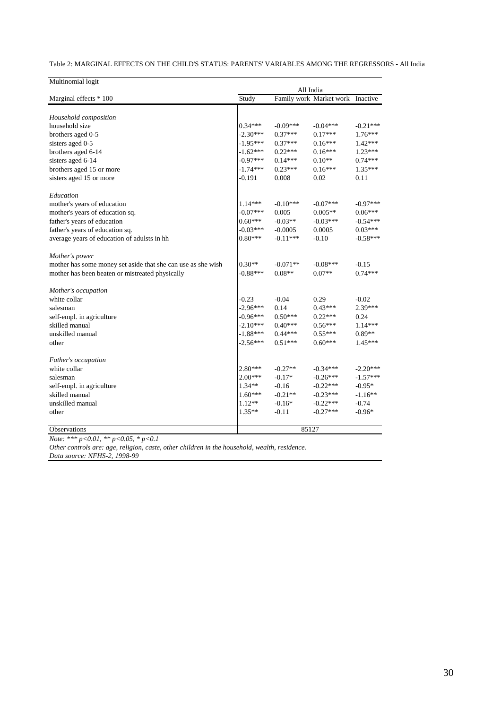Table 2: MARGINAL EFFECTS ON THE CHILD'S STATUS: PARENTS' VARIABLES AMONG THE REGRESSORS - All India

| Multinomial logit                                            |            |                        |                         |                      |
|--------------------------------------------------------------|------------|------------------------|-------------------------|----------------------|
|                                                              |            | All India              |                         |                      |
| Marginal effects * 100                                       | Study      |                        | Family work Market work | Inactive             |
|                                                              |            |                        |                         |                      |
| Household composition                                        |            |                        |                         |                      |
| household size                                               | $0.34***$  | $-0.09***$             | $-0.04***$              | $-0.21***$           |
| brothers aged 0-5                                            | $-2.30***$ | $0.37***$              | $0.17***$               | $1.76***$            |
| sisters aged 0-5                                             | $-1.95***$ | $0.37***$              | $0.16***$               | 1.42***              |
| brothers aged 6-14                                           | $-1.62***$ | $0.22***$              | $0.16***$               | $1.23***$            |
| sisters aged 6-14                                            | $-0.97***$ | $0.14***$              | $0.10**$                | $0.74***$            |
| brothers aged 15 or more                                     | $-1.74***$ | $0.23***$              | $0.16***$               | $1.35***$            |
| sisters aged 15 or more                                      | -0.191     | 0.008                  | 0.02                    | 0.11                 |
| Education                                                    |            |                        |                         |                      |
| mother's years of education                                  | $1.14***$  | $-0.10***$             | $-0.07***$              | $-0.97***$           |
| mother's years of education sq.                              | $-0.07***$ | 0.005                  | $0.005**$               | $0.06***$            |
| father's years of education                                  | $0.60***$  | $-0.03**$              | $-0.03***$              | $-0.54***$           |
| father's years of education sq.                              | $-0.03***$ | $-0.0005$              | 0.0005                  | $0.03***$            |
| average years of education of adulsts in hh                  | $0.80***$  | $-0.11***$             | $-0.10$                 | $-0.58***$           |
|                                                              |            |                        |                         |                      |
| Mother's power                                               | $0.30**$   |                        |                         |                      |
| mother has some money set aside that she can use as she wish | $-0.88***$ | $-0.071**$<br>$0.08**$ | $-0.08***$<br>$0.07**$  | $-0.15$<br>$0.74***$ |
| mother has been beaten or mistreated physically              |            |                        |                         |                      |
| Mother's occupation                                          |            |                        |                         |                      |
| white collar                                                 | $-0.23$    | $-0.04$                | 0.29                    | $-0.02$              |
| salesman                                                     | $-2.96***$ | 0.14                   | $0.43***$               | 2.39***              |
| self-empl. in agriculture                                    | $-0.96***$ | $0.50***$              | $0.22***$               | 0.24                 |
| skilled manual                                               | $-2.10***$ | $0.40***$              | $0.56***$               | $1.14***$            |
| unskilled manual                                             | $-1.88***$ | $0.44***$              | $0.55***$               | $0.89**$             |
| other                                                        | $-2.56***$ | $0.51***$              | $0.60***$               | $1.45***$            |
| Father's occupation                                          |            |                        |                         |                      |
| white collar                                                 | 2.80***    | $-0.27**$              | $-0.34***$              | $-2.20***$           |
| salesman                                                     | 2.00***    | $-0.17*$               | $-0.26***$              | $-1.57***$           |
| self-empl. in agriculture                                    | $1.34**$   | $-0.16$                | $-0.22***$              | $-0.95*$             |
| skilled manual                                               | $1.60***$  | $-0.21**$              | $-0.23***$              | $-1.16**$            |
| unskilled manual                                             | $1.12**$   | $-0.16*$               | $-0.22***$              | $-0.74$              |
| other                                                        | $1.35**$   | $-0.11$                | $-0.27***$              | $-0.96*$             |
|                                                              |            |                        |                         |                      |
| Observations                                                 |            | 85127                  |                         |                      |

*Note: \*\*\* p<0.01, \*\* p<0.05, \* p<0.1*

*Other controls are: age, religion, caste, other children in the household, wealth, residence.*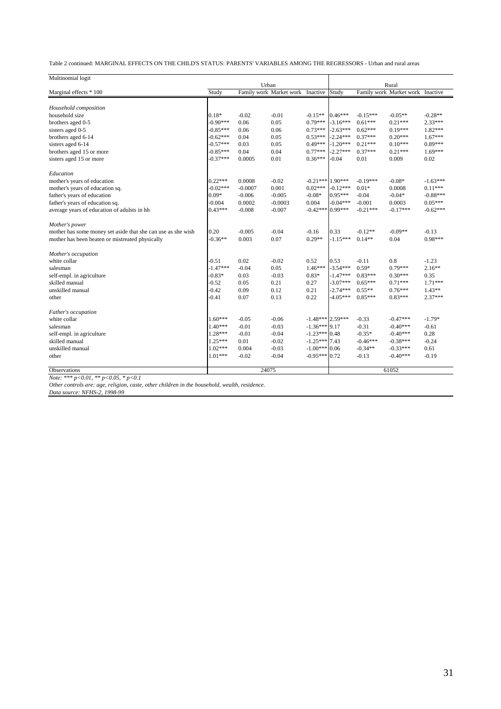Table 2 continued: MARGINAL EFFECTS ON THE CHILD'S STATUS: PARENTS' VARIABLES AMONG THE REGRESSORS - Urban and rural areas

| Multinomial logit                                            | Urban      |           |                                  |                    | Rural      |            |                                  |            |
|--------------------------------------------------------------|------------|-----------|----------------------------------|--------------------|------------|------------|----------------------------------|------------|
| Marginal effects * 100                                       | Study      |           | Family work Market work Inactive |                    | Study      |            | Family work Market work Inactive |            |
|                                                              |            |           |                                  |                    |            |            |                                  |            |
| Household composition                                        |            |           |                                  |                    |            |            |                                  |            |
| household size                                               | $0.18*$    | $-0.02$   | $-0.01$                          | $-0.15**$          | $0.46***$  | $-0.15***$ | $-0.05**$                        | $-0.28**$  |
| brothers aged 0-5                                            | $-0.90***$ | 0.06      | 0.05                             | $0.79***$          | $-3.16***$ | $0.61***$  | $0.21***$                        | $2.33***$  |
| sisters aged 0-5                                             | $-0.85***$ | 0.06      | 0.06                             | $0.73***$          | $-2.63***$ | $0.62***$  | $0.19***$                        | 1.82***    |
| brothers aged 6-14                                           | $-0.62***$ | 0.04      | 0.05                             | $0.53***$          | $-2.24***$ | $0.37***$  | $0.20***$                        | $1.67***$  |
| sisters aged 6-14                                            | $-0.57***$ | 0.03      | 0.05                             | $0.49***$          | $-1.20***$ | $0.21***$  | $0.10***$                        | $0.89***$  |
| brothers aged 15 or more                                     | $-0.85***$ | 0.04      | 0.04                             | $0.77***$          | $-2.27***$ | $0.37***$  | $0.21***$                        | $1.69***$  |
| sisters aged 15 or more                                      | $-0.37***$ | 0.0005    | 0.01                             | $0.36***$          | $-0.04$    | 0.01       | 0.009                            | 0.02       |
| Education                                                    |            |           |                                  |                    |            |            |                                  |            |
| mother's years of education                                  | $0.22***$  | 0.0008    | $-0.02$                          | $-0.21***$ 1.90*** |            | $-0.19***$ | $-0.08*$                         | $-1.63***$ |
| mother's years of education sq.                              | $-0.02***$ | $-0.0007$ | 0.001                            | $0.02***$          | $-0.12***$ | $0.01*$    | 0.0008                           | $0.11***$  |
| father's years of education                                  | $0.09*$    | $-0.006$  | $-0.005$                         | $-0.08*$           | $0.95***$  | $-0.04$    | $-0.04*$                         | $-0.88***$ |
| father's years of education sq.                              | $-0.004$   | 0.0002    | $-0.0003$                        | 0.004              | $-0.04***$ | $-0.001$   | 0.0003                           | $0.05***$  |
| average years of education of adulsts in hh                  | $0.43***$  | $-0.008$  | $-0.007$                         | $-0.42***$ 0.99*** |            | $-0.21***$ | $-0.17***$                       | $-0.62***$ |
| Mother's power                                               |            |           |                                  |                    |            |            |                                  |            |
| mother has some money set aside that she can use as she wish | 0.20       | $-0.005$  | $-0.04$                          | $-0.16$            | 0.33       | $-0.12**$  | $-0.09**$                        | $-0.13$    |
| mother has been beaten or mistreated physically              | $-0.36**$  | 0.003     | 0.07                             | $0.29**$           | $-1.15***$ | $0.14**$   | 0.04                             | $0.98***$  |
| Mother's occupation                                          |            |           |                                  |                    |            |            |                                  |            |
| white collar                                                 | $-0.51$    | 0.02      | $-0.02$                          | 0.52               | 0.53       | $-0.11$    | 0.8                              | $-1.23$    |
| salesman                                                     | $-1.47***$ | $-0.04$   | 0.05                             | $1.46***$          | $-3.54***$ | $0.59*$    | $0.79***$                        | $2.16**$   |
| self-empl. in agriculture                                    | $-0.83*$   | 0.03      | $-0.03$                          | $0.83*$            | $-1.47***$ | $0.83***$  | $0.30***$                        | 0.35       |
| skilled manual                                               | $-0.52$    | 0.05      | 0.21                             | 0.27               | $-3.07***$ | $0.65***$  | $0.71***$                        | $1.71***$  |
| unskilled manual                                             | $-0.42$    | 0.09      | 0.12                             | 0.21               | $-2.74***$ | $0.55**$   | $0.76***$                        | $1.43**$   |
| other                                                        | $-0.41$    | 0.07      | 0.13                             | 0.22               | $-4.05***$ | $0.85***$  | $0.83***$                        | $2.37***$  |
| Father's occupation                                          |            |           |                                  |                    |            |            |                                  |            |
| white collar                                                 | $1.60***$  | $-0.05$   | $-0.06$                          | $-1.48***$ 2.59*** |            | $-0.33$    | $-0.47***$                       | $-1.79*$   |
| salesman                                                     | $1.40***$  | $-0.01$   | $-0.03$                          | $-1.36***$ 9.17    |            | $-0.31$    | $-0.40***$                       | $-0.61$    |
| self-empl. in agriculture                                    | $1.28***$  | $-0.01$   | $-0.04$                          | $-1.23***$ 0.48    |            | $-0.35*$   | $-0.40***$                       | 0.28       |
| skilled manual                                               | $1.25***$  | 0.01      | $-0.02$                          | $-1.25***$ 7.43    |            | $-0.46***$ | $-0.38***$                       | $-0.24$    |
| unskilled manual                                             | $1.02***$  | 0.004     | $-0.03$                          | $-1.00***$ 0.06    |            | $-0.34**$  | $-0.33***$                       | 0.61       |
| other                                                        | $1.01***$  | $-0.02$   | $-0.04$                          | $-0.95***$ 0.72    |            | $-0.13$    | $-0.40***$                       | $-0.19$    |
| Observations                                                 |            | 24075     |                                  |                    |            |            | 61052                            |            |

*Note: \*\*\* p<0.01, \*\* p<0.05, \* p<0.1*

*Other controls are: age, religion, caste, other children in the household, wealth, residence.*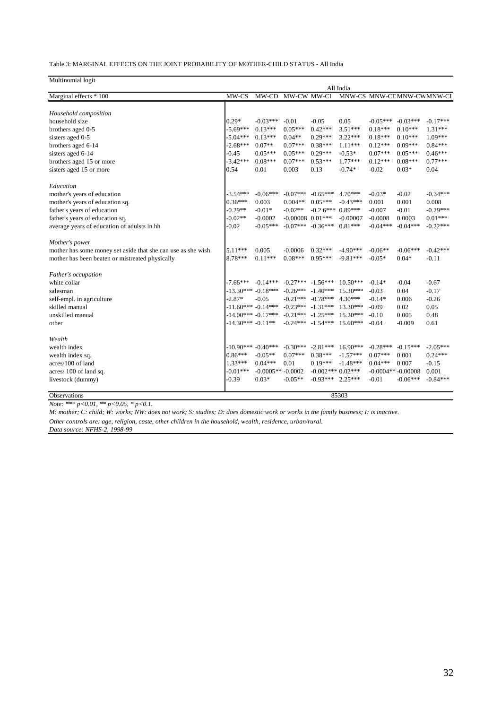Table 3: MARGINAL EFFECTS ON THE JOINT PROBABILITY OF MOTHER-CHILD STATUS - All India

Multinomial logit

|                                                              | All India              |             |                       |                    |            |            |                     |                             |
|--------------------------------------------------------------|------------------------|-------------|-----------------------|--------------------|------------|------------|---------------------|-----------------------------|
| Marginal effects * 100                                       | MW-CS                  | MW-CD       | MW-CW MW-CI           |                    |            |            |                     | MNW-CS_MNW-CL MNW-CW MNW-CI |
|                                                              |                        |             |                       |                    |            |            |                     |                             |
| Household composition                                        |                        |             |                       |                    |            |            |                     |                             |
| household size                                               | $0.29*$                | $-0.03***$  | $-0.01$               | $-0.05$            | 0.05       | $-0.05***$ | $-0.03***$          | $-0.17***$                  |
| brothers aged 0-5                                            | $-5.69***$             | $0.13***$   | $0.05***$             | $0.42***$          | $3.51***$  | $0.18***$  | $0.10***$           | $1.31***$                   |
| sisters aged 0-5                                             | $-5.04***$             | $0.13***$   | $0.04**$              | $0.29***$          | $3.22***$  | $0.18***$  | $0.10***$           | 1.09***                     |
| brothers aged 6-14                                           | $-2.68***$             | $0.07**$    | $0.07***$             | $0.38***$          | $1.11***$  | $0.12***$  | $0.09***$           | $0.84***$                   |
| sisters aged 6-14                                            | $-0.45$                | $0.05***$   | $0.05***$             | $0.29***$          | $-0.53*$   | $0.07***$  | $0.05***$           | $0.46***$                   |
| brothers aged 15 or more                                     | $-3.42***$             | $0.08***$   | $0.07***$             | $0.53***$          | $1.77***$  | $0.12***$  | $0.08***$           | $0.77***$                   |
| sisters aged 15 or more                                      | 0.54                   | 0.01        | 0.003                 | 0.13               | $-0.74*$   | $-0.02$    | $0.03*$             | 0.04                        |
| Education                                                    |                        |             |                       |                    |            |            |                     |                             |
| mother's years of education                                  | $-3.54***$             | $-0.06***$  | $-0.07***$            | $-0.65***$         | $4.70***$  | $-0.03*$   | $-0.02$             | $-0.34***$                  |
| mother's years of education sq.                              | $0.36***$              | 0.003       | $0.004**$             | $0.05***$          | $-0.43***$ | 0.001      | 0.001               | 0.008                       |
| father's years of education                                  | $-0.29**$              | $-0.01*$    | $-0.02**$             | $-0.26***$         | $0.89***$  | $-0.007$   | $-0.01$             | $-0.29***$                  |
| father's years of education sq.                              | $-0.02**$              | $-0.0002$   | $-0.00008$ $0.01***$  |                    | $-0.00007$ | $-0.0008$  | 0.0003              | $0.01***$                   |
| average years of education of adulsts in hh                  | $-0.02$                | $-0.05***$  | $-0.07***$            | $-0.36***$         | $0.81***$  | $-0.04***$ | $-0.04***$          | $-0.22***$                  |
| Mother's power                                               |                        |             |                       |                    |            |            |                     |                             |
| mother has some money set aside that she can use as she wish | 5.11***                | 0.005       | $-0.0006$             | $0.32***$          | $-4.90***$ | $-0.06**$  | $-0.06***$          | $-0.42***$                  |
| mother has been beaten or mistreated physically              | 8.78***                | $0.11***$   | $0.08***$             | $0.95***$          | $-9.81***$ | $-0.05*$   | $0.04*$             | $-0.11$                     |
| Father's occupation                                          |                        |             |                       |                    |            |            |                     |                             |
| white collar                                                 | $-7.66***$             | $-0.14***$  | $-0.27***$ $-1.56***$ |                    | $10.50***$ | $-0.14*$   | $-0.04$             | $-0.67$                     |
| salesman                                                     | $-13.30***$ $-0.18***$ |             | $-0.26***$ $-1.40***$ |                    | $15.30***$ | $-0.03$    | 0.04                | $-0.17$                     |
| self-empl. in agriculture                                    | $-2.87*$               | $-0.05$     | $-0.21***$ $-0.78***$ |                    | $4.30***$  | $-0.14*$   | 0.006               | $-0.26$                     |
| skilled manual                                               | $-11.60***$ $-0.14***$ |             | $-0.23***$ $-1.31***$ |                    | $13.30***$ | $-0.09$    | 0.02                | 0.05                        |
| unskilled manual                                             | $-14.00***$ $-0.17***$ |             | $-0.21***$ $-1.25***$ |                    | $15.20***$ | $-0.10$    | 0.005               | 0.48                        |
| other                                                        | $-14.30***$ $-0.11**$  |             | $-0.24***$ $-1.54***$ |                    | $15.60***$ | $-0.04$    | $-0.009$            | 0.61                        |
| Wealth                                                       |                        |             |                       |                    |            |            |                     |                             |
| wealth index                                                 | $-10.90***$ $-0.40***$ |             | $-0.30***$            | $-2.81***$         | $16.90***$ | $-0.28***$ | $-0.15***$          | $-2.05***$                  |
| wealth index sq.                                             | $0.86***$              | $-0.05**$   | $0.07***$             | $0.38***$          | $-1.57***$ | $0.07***$  | 0.001               | $0.24***$                   |
| acres/100 of land                                            | $1.33***$              | $0.04***$   | 0.01                  | $0.19***$          | $-1.48***$ | $0.04***$  | 0.007               | $-0.15$                     |
| acres/100 of land sq.                                        | $-0.01***$             | $-0.0005**$ | $-0.0002$             | $-0.002***0.02***$ |            |            | $-0.0004**-0.00008$ | 0.001                       |
| livestock (dummy)                                            | $-0.39$                | $0.03*$     | $-0.05**$             | $-0.93***$         | $2.25***$  | $-0.01$    | $-0.06***$          | $-0.84***$                  |
| Observations                                                 |                        |             |                       |                    | 85303      |            |                     |                             |

*Note: \*\*\* p<0.01, \*\* p<0.05, \* p<0.1.*

*M: mother; C: child; W: works; NW: does not work; S: studies; D: does domestic work or works in the family business; I: is inactive.*

*Other controls are: age, religion, caste, other children in the household, wealth, residence, urban/rural.*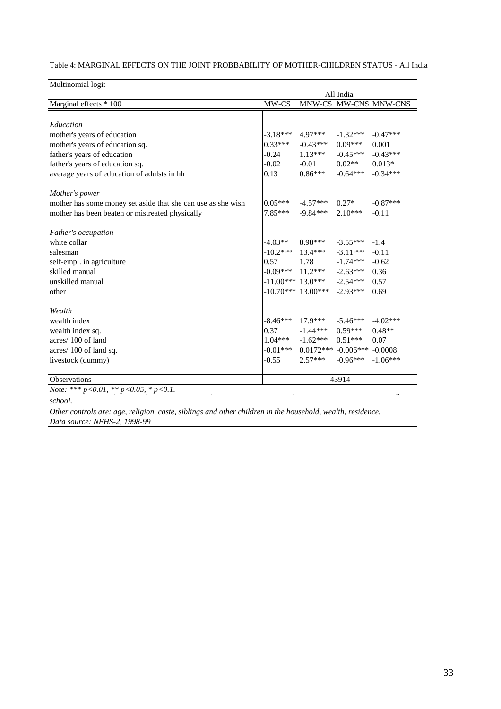| Multinomial logit                                            |            |                      |                       |                       |
|--------------------------------------------------------------|------------|----------------------|-----------------------|-----------------------|
|                                                              |            |                      | All India             |                       |
| Marginal effects * 100                                       | MW-CS      |                      |                       | MNW-CS MW-CNS MNW-CNS |
|                                                              |            |                      |                       |                       |
| Education                                                    |            |                      |                       |                       |
| mother's years of education                                  | $-3.18***$ | $4.97***$            | $-1.32***$            | $-0.47***$            |
| mother's years of education sq.                              | $0.33***$  | $-0.43***$           | $0.09***$             | 0.001                 |
| father's years of education                                  | $-0.24$    | $1.13***$            | $-0.45***$            | $-0.43***$            |
| father's years of education sq.                              | $-0.02$    | $-0.01$              | $0.02**$              | $0.013*$              |
| average years of education of adulsts in hh                  | 0.13       | $0.86***$            | $-0.64***$            | $-0.34***$            |
|                                                              |            |                      |                       |                       |
| Mother's power                                               |            |                      |                       |                       |
| mother has some money set aside that she can use as she wish | $0.05***$  | $-4.57***$           | $0.27*$               | $-0.87***$            |
| mother has been beaten or mistreated physically              | $7.85***$  | $-9.84***$           | $2.10***$             | $-0.11$               |
|                                                              |            |                      |                       |                       |
| Father's occupation                                          |            |                      |                       |                       |
| white collar                                                 | $-4.03**$  | 8.98***              | $-3.55***$            | $-1.4$                |
| salesman                                                     | $-10.2***$ | $13.4***$            | $-3.11***$            | $-0.11$               |
| self-empl. in agriculture                                    | 0.57       | 1.78                 | $-1.74***$            | $-0.62$               |
| skilled manual                                               | $-0.09***$ | $11.2***$            | $-2.63***$            | 0.36                  |
| unskilled manual                                             |            | $-11.00***$ 13.0***  | $-2.54***$            | 0.57                  |
| other                                                        |            | $-10.70***$ 13.00*** | $-2.93***$            | 0.69                  |
|                                                              |            |                      |                       |                       |
| Wealth                                                       |            |                      |                       |                       |
| wealth index                                                 | $-8.46***$ | $17.9***$            | $-5.46***$            | $-4.02***$            |
| wealth index sq.                                             | 0.37       | $-1.44***$           | $0.59***$             | $0.48**$              |
| acres/100 of land                                            | $1.04***$  | $-1.62***$           | $0.51***$             | 0.07                  |
| acres/100 of land sq.                                        | $-0.01***$ |                      | $0.0172***$ -0.006*** | $-0.0008$             |
| livestock (dummy)                                            | $-0.55$    | $2.57***$            | $-0.96***$            | $-1.06***$            |
|                                                              |            |                      |                       |                       |
| <b>Observations</b>                                          |            |                      | 43914                 |                       |

Table 4: MARGINAL EFFECTS ON THE JOINT PROBBABILITY OF MOTHER-CHILDREN STATUS - All India

*Note:* \*\*\*  $p < 0.01$ , \*\*  $p < 0.05$ , \*  $p < 0.1$ .

*school.*

*Other controls are: age, religion, caste, siblings and other children in the household, wealth, residence. Data source: NFHS-2, 1998-99*